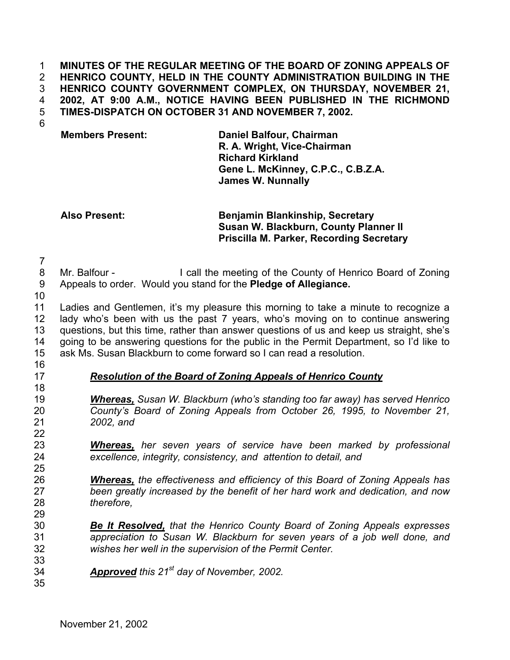**MINUTES OF THE REGULAR MEETING OF THE BOARD OF ZONING APPEALS OF HENRICO COUNTY, HELD IN THE COUNTY ADMINISTRATION BUILDING IN THE HENRICO COUNTY GOVERNMENT COMPLEX, ON THURSDAY, NOVEMBER 21, 2002, AT 9:00 A.M., NOTICE HAVING BEEN PUBLISHED IN THE RICHMOND TIMES-DISPATCH ON OCTOBER 31 AND NOVEMBER 7, 2002.**  1 2 3 4 5

6

**Members Present: Daniel Balfour, Chairman R. A. Wright, Vice-Chairman Richard Kirkland Gene L. McKinney, C.P.C., C.B.Z.A. James W. Nunnally**

## **Also Present: Benjamin Blankinship, Secretary Susan W. Blackburn, County Planner II Priscilla M. Parker, Recording Secretary**

7

- 8 Mr. Balfour - I call the meeting of the County of Henrico Board of Zoning
- 9 Appeals to order. Would you stand for the **Pledge of Allegiance.**
- 10

11 12 13 14 15 Ladies and Gentlemen, it's my pleasure this morning to take a minute to recognize a lady who's been with us the past 7 years, who's moving on to continue answering questions, but this time, rather than answer questions of us and keep us straight, she's going to be answering questions for the public in the Permit Department, so I'd like to ask Ms. Susan Blackburn to come forward so I can read a resolution.

16

18

25

# 17 *Resolution of the Board of Zoning Appeals of Henrico County*

- *Whereas, Susan W. Blackburn (who's standing too far away) has served Henrico County's Board of Zoning Appeals from October 26, 1995, to November 21, 2002, and*
- *Whereas, her seven years of service have been marked by professional excellence, integrity, consistency, and attention to detail, and*  23 24
- *Whereas, the effectiveness and efficiency of this Board of Zoning Appeals has been greatly increased by the benefit of her hard work and dedication, and now therefore,*  26 27 28 29
- *Be It Resolved, that the Henrico County Board of Zoning Appeals expresses appreciation to Susan W. Blackburn for seven years of a job well done, and wishes her well in the supervision of the Permit Center.*  30 31 32
- *Approved this 21st* 34 *day of November, 2002.*
- 35

33

November 21, 2002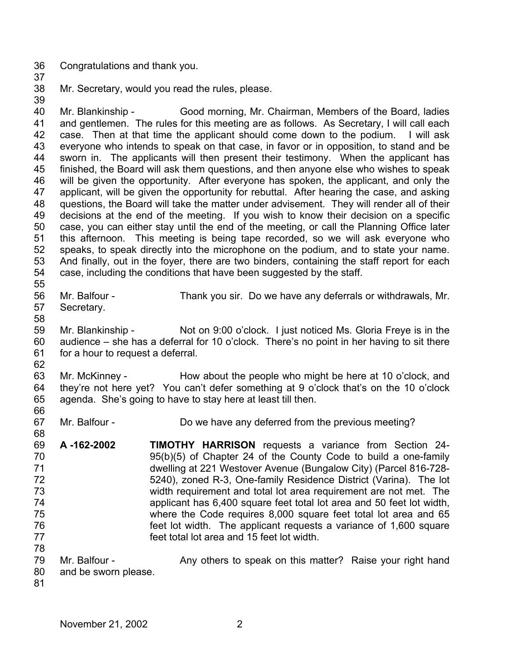- 36 Congratulations and thank you.
- 37

39

38 Mr. Secretary, would you read the rules, please.

40 41 42 43 44 45 46 47 48 49 50 51 52 53 54 55 Mr. Blankinship - Good morning, Mr. Chairman, Members of the Board, ladies and gentlemen. The rules for this meeting are as follows. As Secretary, I will call each case. Then at that time the applicant should come down to the podium. I will ask everyone who intends to speak on that case, in favor or in opposition, to stand and be sworn in. The applicants will then present their testimony. When the applicant has finished, the Board will ask them questions, and then anyone else who wishes to speak will be given the opportunity. After everyone has spoken, the applicant, and only the applicant, will be given the opportunity for rebuttal. After hearing the case, and asking questions, the Board will take the matter under advisement. They will render all of their decisions at the end of the meeting. If you wish to know their decision on a specific case, you can either stay until the end of the meeting, or call the Planning Office later this afternoon. This meeting is being tape recorded, so we will ask everyone who speaks, to speak directly into the microphone on the podium, and to state your name. And finally, out in the foyer, there are two binders, containing the staff report for each case, including the conditions that have been suggested by the staff.

- 56 57 Mr. Balfour - Thank you sir. Do we have any deferrals or withdrawals, Mr. Secretary.
- 58

59 60 61 Mr. Blankinship - Not on 9:00 o'clock. I just noticed Ms. Gloria Freye is in the audience – she has a deferral for 10 o'clock. There's no point in her having to sit there for a hour to request a deferral.

62

66

68

63 64 65 Mr. McKinney - How about the people who might be here at 10 o'clock, and they're not here yet? You can't defer something at 9 o'clock that's on the 10 o'clock agenda. She's going to have to stay here at least till then.

- 67 Mr. Balfour - Do we have any deferred from the previous meeting?
- 69 70 71 72 73 74 75 76 77 78 **A -162-2002 TIMOTHY HARRISON** requests a variance from Section 24- 95(b)(5) of Chapter 24 of the County Code to build a one-family dwelling at 221 Westover Avenue (Bungalow City) (Parcel 816-728- 5240), zoned R-3, One-family Residence District (Varina). The lot width requirement and total lot area requirement are not met. The applicant has 6,400 square feet total lot area and 50 feet lot width, where the Code requires 8,000 square feet total lot area and 65 feet lot width. The applicant requests a variance of 1,600 square feet total lot area and 15 feet lot width.
- 79 80 Mr. Balfour - Any others to speak on this matter? Raise your right hand and be sworn please.
- 81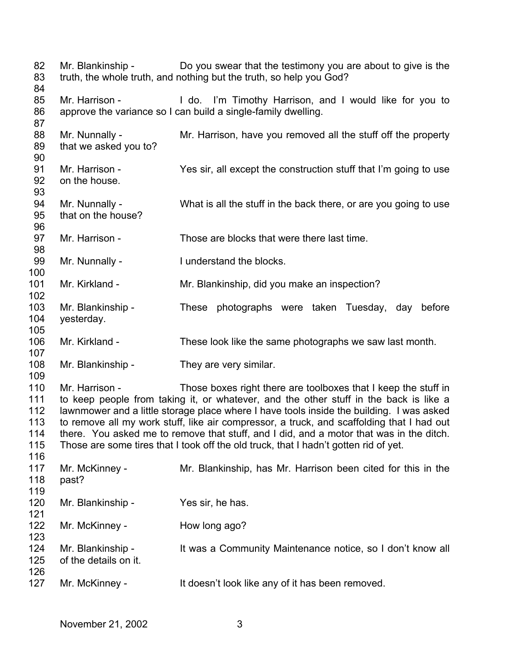| 82<br>83<br>84                                | Mr. Blankinship -                          | Do you swear that the testimony you are about to give is the<br>truth, the whole truth, and nothing but the truth, so help you God?                                                                                                                                                                                                                                                                                                                                                                                                 |
|-----------------------------------------------|--------------------------------------------|-------------------------------------------------------------------------------------------------------------------------------------------------------------------------------------------------------------------------------------------------------------------------------------------------------------------------------------------------------------------------------------------------------------------------------------------------------------------------------------------------------------------------------------|
| 85<br>86                                      | Mr. Harrison -                             | I do. I'm Timothy Harrison, and I would like for you to<br>approve the variance so I can build a single-family dwelling.                                                                                                                                                                                                                                                                                                                                                                                                            |
| 87<br>88<br>89<br>90                          | Mr. Nunnally -<br>that we asked you to?    | Mr. Harrison, have you removed all the stuff off the property                                                                                                                                                                                                                                                                                                                                                                                                                                                                       |
| 91<br>92<br>93                                | Mr. Harrison -<br>on the house.            | Yes sir, all except the construction stuff that I'm going to use                                                                                                                                                                                                                                                                                                                                                                                                                                                                    |
| 94<br>95<br>96                                | Mr. Nunnally -<br>that on the house?       | What is all the stuff in the back there, or are you going to use                                                                                                                                                                                                                                                                                                                                                                                                                                                                    |
| 97<br>98                                      | Mr. Harrison -                             | Those are blocks that were there last time.                                                                                                                                                                                                                                                                                                                                                                                                                                                                                         |
| 99<br>100                                     | Mr. Nunnally -                             | I understand the blocks.                                                                                                                                                                                                                                                                                                                                                                                                                                                                                                            |
| 101<br>102                                    | Mr. Kirkland -                             | Mr. Blankinship, did you make an inspection?                                                                                                                                                                                                                                                                                                                                                                                                                                                                                        |
| 103<br>104<br>105                             | Mr. Blankinship -<br>yesterday.            | These photographs were taken Tuesday, day<br>before                                                                                                                                                                                                                                                                                                                                                                                                                                                                                 |
| 106<br>107                                    | Mr. Kirkland -                             | These look like the same photographs we saw last month.                                                                                                                                                                                                                                                                                                                                                                                                                                                                             |
| 108<br>109                                    | Mr. Blankinship -                          | They are very similar.                                                                                                                                                                                                                                                                                                                                                                                                                                                                                                              |
| 110<br>111<br>112<br>113<br>114<br>115<br>116 | Mr. Harrison -                             | Those boxes right there are toolboxes that I keep the stuff in<br>to keep people from taking it, or whatever, and the other stuff in the back is like a<br>lawnmower and a little storage place where I have tools inside the building. I was asked<br>to remove all my work stuff, like air compressor, a truck, and scaffolding that I had out<br>there. You asked me to remove that stuff, and I did, and a motor that was in the ditch.<br>Those are some tires that I took off the old truck, that I hadn't gotten rid of yet. |
| 117<br>118<br>119                             | Mr. McKinney -<br>past?                    | Mr. Blankinship, has Mr. Harrison been cited for this in the                                                                                                                                                                                                                                                                                                                                                                                                                                                                        |
| 120<br>121                                    | Mr. Blankinship -                          | Yes sir, he has.                                                                                                                                                                                                                                                                                                                                                                                                                                                                                                                    |
| 122<br>123                                    | Mr. McKinney -                             | How long ago?                                                                                                                                                                                                                                                                                                                                                                                                                                                                                                                       |
| 124<br>125<br>126                             | Mr. Blankinship -<br>of the details on it. | It was a Community Maintenance notice, so I don't know all                                                                                                                                                                                                                                                                                                                                                                                                                                                                          |
| 127                                           | Mr. McKinney -                             | It doesn't look like any of it has been removed.                                                                                                                                                                                                                                                                                                                                                                                                                                                                                    |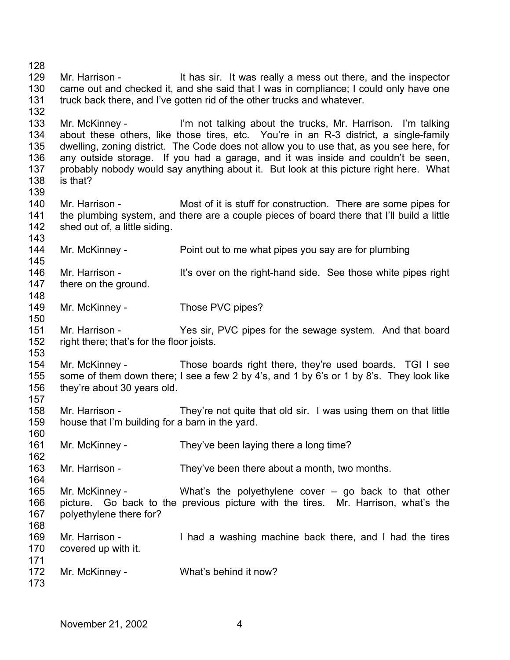128 129 130 131 132 133 134 135 136 137 138 139 140 141 142 143 144 145 146 147 148 149 150 151 152 153 154 155 156 157 158 159 160 161 162 163 164 165 166 167 168 169 170 171 172 173 Mr. Harrison - It has sir. It was really a mess out there, and the inspector came out and checked it, and she said that I was in compliance; I could only have one truck back there, and I've gotten rid of the other trucks and whatever. Mr. McKinney - I'm not talking about the trucks, Mr. Harrison. I'm talking about these others, like those tires, etc. You're in an R-3 district, a single-family dwelling, zoning district. The Code does not allow you to use that, as you see here, for any outside storage. If you had a garage, and it was inside and couldn't be seen, probably nobody would say anything about it. But look at this picture right here. What is that? Mr. Harrison - Most of it is stuff for construction. There are some pipes for the plumbing system, and there are a couple pieces of board there that I'll build a little shed out of, a little siding. Mr. McKinney - Point out to me what pipes you say are for plumbing Mr. Harrison - It's over on the right-hand side. See those white pipes right there on the ground. Mr. McKinney - Those PVC pipes? Mr. Harrison - Yes sir, PVC pipes for the sewage system. And that board right there; that's for the floor joists. Mr. McKinney - Those boards right there, they're used boards. TGI I see some of them down there; I see a few 2 by 4's, and 1 by 6's or 1 by 8's. They look like they're about 30 years old. Mr. Harrison - They're not quite that old sir. I was using them on that little house that I'm building for a barn in the yard. Mr. McKinney - They've been laying there a long time? Mr. Harrison - They've been there about a month, two months. Mr. McKinney - What's the polyethylene cover – go back to that other picture. Go back to the previous picture with the tires. Mr. Harrison, what's the polyethylene there for? Mr. Harrison - I had a washing machine back there, and I had the tires covered up with it. Mr. McKinney - What's behind it now?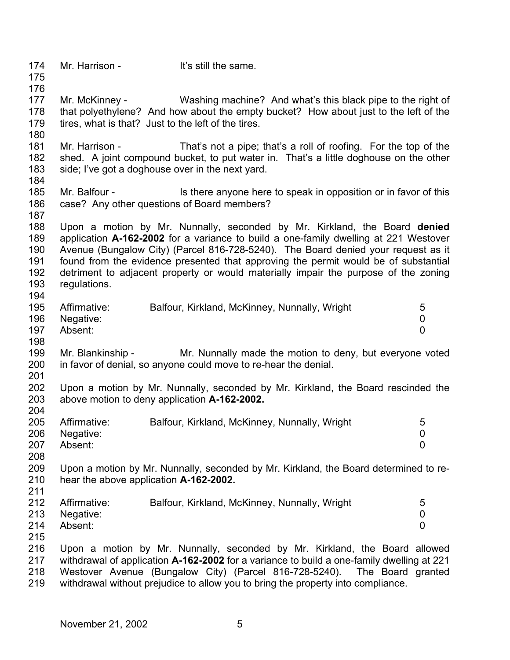174 175 176 177 178 179 180 181 182 183 184 185 186 187 188 189 190 191 192 193 194 195 196 197 198 199 200 201 202 203 204 205 206 207 208 209 210 211 212 213 214 215 216 217 218 219 Mr. Harrison - It's still the same. Mr. McKinney - Washing machine? And what's this black pipe to the right of that polyethylene? And how about the empty bucket? How about just to the left of the tires, what is that? Just to the left of the tires. Mr. Harrison - That's not a pipe; that's a roll of roofing. For the top of the shed. A joint compound bucket, to put water in. That's a little doghouse on the other side; I've got a doghouse over in the next yard. Mr. Balfour - Is there anyone here to speak in opposition or in favor of this case? Any other questions of Board members? Upon a motion by Mr. Nunnally, seconded by Mr. Kirkland, the Board **denied** application **A-162-2002** for a variance to build a one-family dwelling at 221 Westover Avenue (Bungalow City) (Parcel 816-728-5240). The Board denied your request as it found from the evidence presented that approving the permit would be of substantial detriment to adjacent property or would materially impair the purpose of the zoning regulations. Affirmative: Balfour, Kirkland, McKinney, Nunnally, Wright 5 Negative: 0 Absent: 0 Mr. Blankinship - Mr. Nunnally made the motion to deny, but everyone voted in favor of denial, so anyone could move to re-hear the denial. Upon a motion by Mr. Nunnally, seconded by Mr. Kirkland, the Board rescinded the above motion to deny application **A-162-2002.**  Affirmative: Balfour, Kirkland, McKinney, Nunnally, Wright 5 Negative: 0 Absent: 0 Upon a motion by Mr. Nunnally, seconded by Mr. Kirkland, the Board determined to rehear the above application **A-162-2002.**  Affirmative: Balfour, Kirkland, McKinney, Nunnally, Wright 5 Negative: 0 Absent: 0 Upon a motion by Mr. Nunnally, seconded by Mr. Kirkland, the Board allowed withdrawal of application **A-162-2002** for a variance to build a one-family dwelling at 221 Westover Avenue (Bungalow City) (Parcel 816-728-5240). The Board granted withdrawal without prejudice to allow you to bring the property into compliance.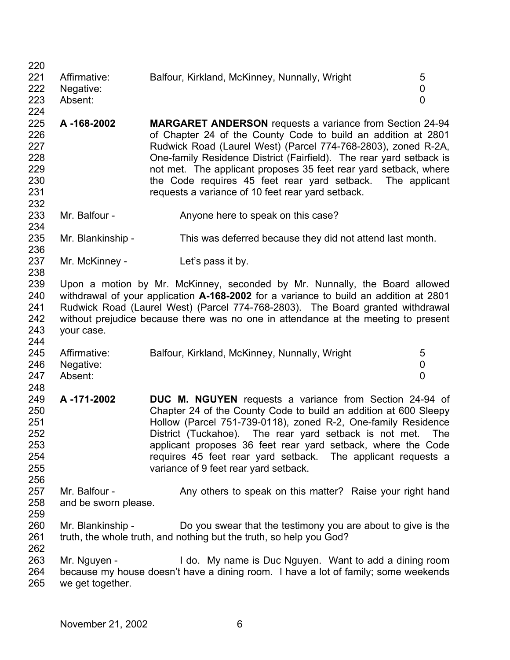| 220 |                      |                                                                                       |                |
|-----|----------------------|---------------------------------------------------------------------------------------|----------------|
| 221 | Affirmative:         | Balfour, Kirkland, McKinney, Nunnally, Wright                                         | 5              |
| 222 | Negative:            |                                                                                       | 0              |
| 223 | Absent:              |                                                                                       | $\overline{0}$ |
| 224 |                      |                                                                                       |                |
| 225 | A-168-2002           | <b>MARGARET ANDERSON</b> requests a variance from Section 24-94                       |                |
| 226 |                      | of Chapter 24 of the County Code to build an addition at 2801                         |                |
| 227 |                      | Rudwick Road (Laurel West) (Parcel 774-768-2803), zoned R-2A,                         |                |
| 228 |                      | One-family Residence District (Fairfield). The rear yard setback is                   |                |
| 229 |                      | not met. The applicant proposes 35 feet rear yard setback, where                      |                |
| 230 |                      | the Code requires 45 feet rear yard setback. The applicant                            |                |
| 231 |                      | requests a variance of 10 feet rear yard setback.                                     |                |
| 232 |                      |                                                                                       |                |
| 233 | Mr. Balfour -        | Anyone here to speak on this case?                                                    |                |
| 234 |                      |                                                                                       |                |
| 235 | Mr. Blankinship -    | This was deferred because they did not attend last month.                             |                |
| 236 |                      |                                                                                       |                |
| 237 | Mr. McKinney -       | Let's pass it by.                                                                     |                |
| 238 |                      |                                                                                       |                |
| 239 |                      | Upon a motion by Mr. McKinney, seconded by Mr. Nunnally, the Board allowed            |                |
| 240 |                      | withdrawal of your application A-168-2002 for a variance to build an addition at 2801 |                |
| 241 |                      | Rudwick Road (Laurel West) (Parcel 774-768-2803). The Board granted withdrawal        |                |
| 242 |                      | without prejudice because there was no one in attendance at the meeting to present    |                |
| 243 | your case.           |                                                                                       |                |
| 244 |                      |                                                                                       |                |
|     |                      |                                                                                       |                |
| 245 | Affirmative:         | Balfour, Kirkland, McKinney, Nunnally, Wright                                         | 5              |
| 246 | Negative:            |                                                                                       | 0              |
| 247 | Absent:              |                                                                                       | $\overline{0}$ |
| 248 |                      |                                                                                       |                |
| 249 | A-171-2002           | <b>DUC M. NGUYEN</b> requests a variance from Section 24-94 of                        |                |
| 250 |                      | Chapter 24 of the County Code to build an addition at 600 Sleepy                      |                |
| 251 |                      | Hollow (Parcel 751-739-0118), zoned R-2, One-family Residence                         |                |
| 252 |                      | District (Tuckahoe). The rear yard setback is not met. The                            |                |
| 253 |                      | applicant proposes 36 feet rear yard setback, where the Code                          |                |
| 254 |                      | requires 45 feet rear yard setback. The applicant requests a                          |                |
| 255 |                      | variance of 9 feet rear yard setback.                                                 |                |
| 256 |                      |                                                                                       |                |
| 257 | Mr. Balfour -        | Any others to speak on this matter? Raise your right hand                             |                |
| 258 | and be sworn please. |                                                                                       |                |
|     |                      |                                                                                       |                |
| 259 |                      |                                                                                       |                |
| 260 | Mr. Blankinship -    | Do you swear that the testimony you are about to give is the                          |                |
| 261 |                      | truth, the whole truth, and nothing but the truth, so help you God?                   |                |
| 262 |                      |                                                                                       |                |
| 263 | Mr. Nguyen -         | I do. My name is Duc Nguyen. Want to add a dining room                                |                |
| 264 |                      | because my house doesn't have a dining room. I have a lot of family; some weekends    |                |
| 265 | we get together.     |                                                                                       |                |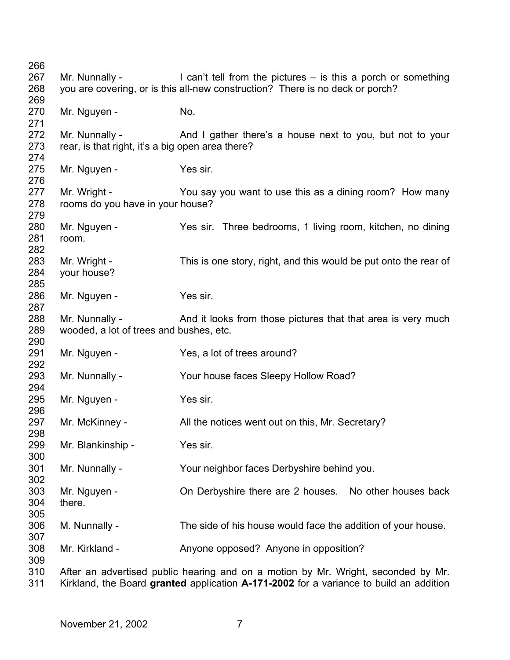| 266 |                                                  |                                                                                        |
|-----|--------------------------------------------------|----------------------------------------------------------------------------------------|
| 267 | Mr. Nunnally -                                   | I can't tell from the pictures $-$ is this a porch or something                        |
| 268 |                                                  | you are covering, or is this all-new construction? There is no deck or porch?          |
| 269 |                                                  |                                                                                        |
| 270 | Mr. Nguyen -                                     | No.                                                                                    |
| 271 |                                                  |                                                                                        |
| 272 | Mr. Nunnally -                                   | And I gather there's a house next to you, but not to your                              |
| 273 | rear, is that right, it's a big open area there? |                                                                                        |
| 274 |                                                  |                                                                                        |
| 275 | Mr. Nguyen -                                     | Yes sir.                                                                               |
| 276 |                                                  |                                                                                        |
| 277 | Mr. Wright -                                     | You say you want to use this as a dining room? How many                                |
| 278 | rooms do you have in your house?                 |                                                                                        |
| 279 |                                                  |                                                                                        |
| 280 | Mr. Nguyen -                                     | Yes sir. Three bedrooms, 1 living room, kitchen, no dining                             |
| 281 | room.                                            |                                                                                        |
| 282 |                                                  |                                                                                        |
| 283 | Mr. Wright -                                     | This is one story, right, and this would be put onto the rear of                       |
| 284 | your house?                                      |                                                                                        |
| 285 |                                                  |                                                                                        |
| 286 | Mr. Nguyen -                                     | Yes sir.                                                                               |
| 287 |                                                  |                                                                                        |
| 288 | Mr. Nunnally -                                   | And it looks from those pictures that that area is very much                           |
| 289 | wooded, a lot of trees and bushes, etc.          |                                                                                        |
| 290 |                                                  |                                                                                        |
| 291 | Mr. Nguyen -                                     | Yes, a lot of trees around?                                                            |
| 292 |                                                  |                                                                                        |
| 293 | Mr. Nunnally -                                   | Your house faces Sleepy Hollow Road?                                                   |
| 294 |                                                  |                                                                                        |
| 295 | Mr. Nguyen -                                     | Yes sir.                                                                               |
| 296 |                                                  |                                                                                        |
| 297 | Mr. McKinney -                                   | All the notices went out on this, Mr. Secretary?                                       |
| 298 |                                                  |                                                                                        |
| 299 | Mr. Blankinship -                                | Yes sir.                                                                               |
| 300 |                                                  |                                                                                        |
| 301 | Mr. Nunnally -                                   | Your neighbor faces Derbyshire behind you.                                             |
| 302 |                                                  |                                                                                        |
| 303 | Mr. Nguyen -                                     | On Derbyshire there are 2 houses. No other houses back                                 |
| 304 | there.                                           |                                                                                        |
| 305 |                                                  |                                                                                        |
| 306 | M. Nunnally -                                    | The side of his house would face the addition of your house.                           |
| 307 |                                                  |                                                                                        |
| 308 | Mr. Kirkland -                                   | Anyone opposed? Anyone in opposition?                                                  |
| 309 |                                                  |                                                                                        |
| 310 |                                                  | After an advertised public hearing and on a motion by Mr. Wright, seconded by Mr.      |
| 311 |                                                  | Kirkland, the Board granted application A-171-2002 for a variance to build an addition |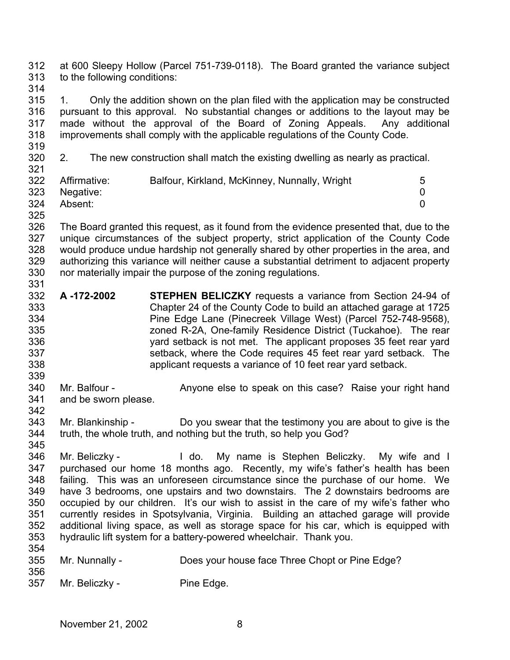312 313 at 600 Sleepy Hollow (Parcel 751-739-0118). The Board granted the variance subject to the following conditions:

314

315 316 317 318 1. Only the addition shown on the plan filed with the application may be constructed pursuant to this approval. No substantial changes or additions to the layout may be made without the approval of the Board of Zoning Appeals. Any additional improvements shall comply with the applicable regulations of the County Code.

319

320 321 2. The new construction shall match the existing dwelling as nearly as practical.

| ິ∽  |               |                                               |   |
|-----|---------------|-----------------------------------------------|---|
| 322 | Affirmative:  | Balfour, Kirkland, McKinney, Nunnally, Wright | 5 |
|     | 323 Negative: |                                               |   |
| 324 | Absent:       |                                               |   |

325

326 327 328 329 330 331 The Board granted this request, as it found from the evidence presented that, due to the unique circumstances of the subject property, strict application of the County Code would produce undue hardship not generally shared by other properties in the area, and authorizing this variance will neither cause a substantial detriment to adjacent property nor materially impair the purpose of the zoning regulations.

- 332 333 334 335 336 337 338 **A -172-2002 STEPHEN BELICZKY** requests a variance from Section 24-94 of Chapter 24 of the County Code to build an attached garage at 1725 Pine Edge Lane (Pinecreek Village West) (Parcel 752-748-9568), zoned R-2A, One-family Residence District (Tuckahoe). The rear yard setback is not met. The applicant proposes 35 feet rear yard setback, where the Code requires 45 feet rear yard setback. The applicant requests a variance of 10 feet rear yard setback.
- 339 340 341 Mr. Balfour - Anyone else to speak on this case? Raise your right hand and be sworn please.
- 343 344 345 Mr. Blankinship - Do you swear that the testimony you are about to give is the truth, the whole truth, and nothing but the truth, so help you God?
- 346 347 348 349 350 351 352 353 354 Mr. Beliczky - I do. My name is Stephen Beliczky. My wife and I purchased our home 18 months ago. Recently, my wife's father's health has been failing. This was an unforeseen circumstance since the purchase of our home. We have 3 bedrooms, one upstairs and two downstairs. The 2 downstairs bedrooms are occupied by our children. It's our wish to assist in the care of my wife's father who currently resides in Spotsylvania, Virginia. Building an attached garage will provide additional living space, as well as storage space for his car, which is equipped with hydraulic lift system for a battery-powered wheelchair. Thank you.
- 355 Mr. Nunnally - Does your house face Three Chopt or Pine Edge?
- 356 357

342

Mr. Beliczky - Pine Edge.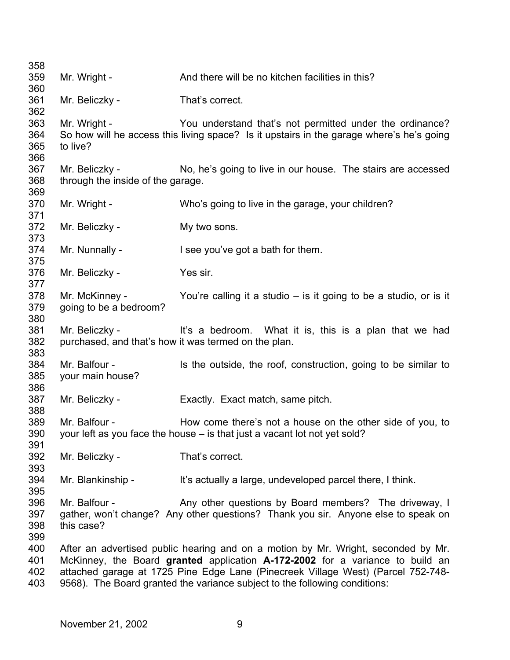| 358        |                                   |                                                                                          |
|------------|-----------------------------------|------------------------------------------------------------------------------------------|
| 359        | Mr. Wright -                      | And there will be no kitchen facilities in this?                                         |
| 360        |                                   |                                                                                          |
| 361        | Mr. Beliczky -                    | That's correct.                                                                          |
| 362        |                                   |                                                                                          |
| 363        | Mr. Wright -                      | You understand that's not permitted under the ordinance?                                 |
| 364        |                                   | So how will he access this living space? Is it upstairs in the garage where's he's going |
| 365        | to live?                          |                                                                                          |
| 366        |                                   |                                                                                          |
| 367        | Mr. Beliczky -                    | No, he's going to live in our house. The stairs are accessed                             |
| 368        | through the inside of the garage. |                                                                                          |
| 369        |                                   |                                                                                          |
| 370        | Mr. Wright -                      | Who's going to live in the garage, your children?                                        |
| 371        |                                   |                                                                                          |
| 372        | Mr. Beliczky -                    | My two sons.                                                                             |
| 373        |                                   |                                                                                          |
| 374        | Mr. Nunnally -                    | I see you've got a bath for them.                                                        |
| 375        |                                   |                                                                                          |
| 376        | Mr. Beliczky -                    | Yes sir.                                                                                 |
| 377        |                                   |                                                                                          |
| 378        | Mr. McKinney -                    | You're calling it a studio $-$ is it going to be a studio, or is it                      |
| 379        | going to be a bedroom?            |                                                                                          |
| 380        |                                   |                                                                                          |
| 381        | Mr. Beliczky -                    | It's a bedroom. What it is, this is a plan that we had                                   |
| 382        |                                   | purchased, and that's how it was termed on the plan.                                     |
| 383        |                                   |                                                                                          |
| 384        | Mr. Balfour -                     | Is the outside, the roof, construction, going to be similar to                           |
| 385        | your main house?                  |                                                                                          |
| 386        |                                   |                                                                                          |
| 387        | Mr. Beliczky -                    | Exactly. Exact match, same pitch.                                                        |
| 388        |                                   |                                                                                          |
| 389        | Mr. Balfour -                     | How come there's not a house on the other side of you, to                                |
| 390        |                                   | your left as you face the house - is that just a vacant lot not yet sold?                |
| 391<br>392 | Mr. Beliczky -                    | That's correct.                                                                          |
| 393        |                                   |                                                                                          |
| 394        | Mr. Blankinship -                 | It's actually a large, undeveloped parcel there, I think.                                |
| 395        |                                   |                                                                                          |
| 396        | Mr. Balfour -                     | Any other questions by Board members? The driveway, I                                    |
| 397        |                                   | gather, won't change? Any other questions? Thank you sir. Anyone else to speak on        |
| 398        | this case?                        |                                                                                          |
| 399        |                                   |                                                                                          |
| 400        |                                   | After an advertised public hearing and on a motion by Mr. Wright, seconded by Mr.        |
| 401        |                                   | McKinney, the Board granted application A-172-2002 for a variance to build an            |
| 402        |                                   | attached garage at 1725 Pine Edge Lane (Pinecreek Village West) (Parcel 752-748-         |
| 403        |                                   | 9568). The Board granted the variance subject to the following conditions:               |
|            |                                   |                                                                                          |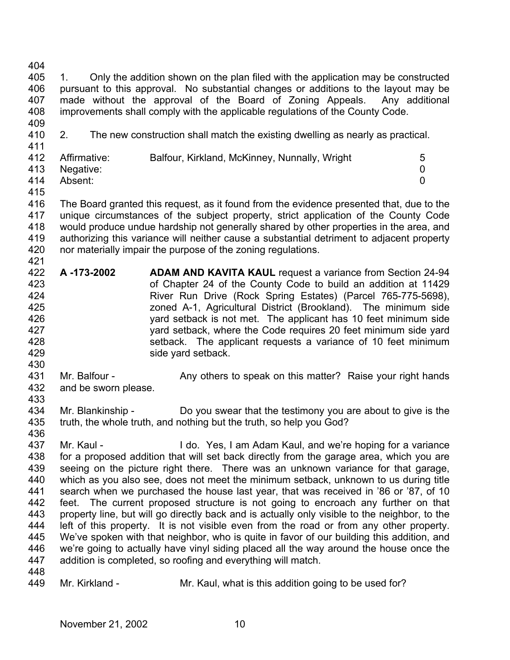404

405 406 407 408 1. Only the addition shown on the plan filed with the application may be constructed pursuant to this approval. No substantial changes or additions to the layout may be made without the approval of the Board of Zoning Appeals. Any additional improvements shall comply with the applicable regulations of the County Code.

409 410 411

2. The new construction shall match the existing dwelling as nearly as practical.

|     | 412 Affirmative: | Balfour, Kirkland, McKinney, Nunnally, Wright | 5 |
|-----|------------------|-----------------------------------------------|---|
|     | 413 Negative:    |                                               |   |
| 414 | Absent:          |                                               |   |

415

421

416 417 418 419 420 The Board granted this request, as it found from the evidence presented that, due to the unique circumstances of the subject property, strict application of the County Code would produce undue hardship not generally shared by other properties in the area, and authorizing this variance will neither cause a substantial detriment to adjacent property nor materially impair the purpose of the zoning regulations.

- 422 423 424 425 426 427 428 429 **A -173-2002 ADAM AND KAVITA KAUL** request a variance from Section 24-94 of Chapter 24 of the County Code to build an addition at 11429 River Run Drive (Rock Spring Estates) (Parcel 765-775-5698), zoned A-1, Agricultural District (Brookland). The minimum side yard setback is not met. The applicant has 10 feet minimum side yard setback, where the Code requires 20 feet minimum side yard setback. The applicant requests a variance of 10 feet minimum side yard setback.
- 431 432 Mr. Balfour - Any others to speak on this matter? Raise your right hands and be sworn please.
- 433

430

434 435 Mr. Blankinship - Do you swear that the testimony you are about to give is the truth, the whole truth, and nothing but the truth, so help you God?

436

437 438 439 440 441 442 443 444 445 446 447 Mr. Kaul - I do. Yes, I am Adam Kaul, and we're hoping for a variance for a proposed addition that will set back directly from the garage area, which you are seeing on the picture right there. There was an unknown variance for that garage, which as you also see, does not meet the minimum setback, unknown to us during title search when we purchased the house last year, that was received in '86 or '87, of 10 feet. The current proposed structure is not going to encroach any further on that property line, but will go directly back and is actually only visible to the neighbor, to the left of this property. It is not visible even from the road or from any other property. We've spoken with that neighbor, who is quite in favor of our building this addition, and we're going to actually have vinyl siding placed all the way around the house once the addition is completed, so roofing and everything will match.

448

449 Mr. Kirkland - Mr. Kaul, what is this addition going to be used for?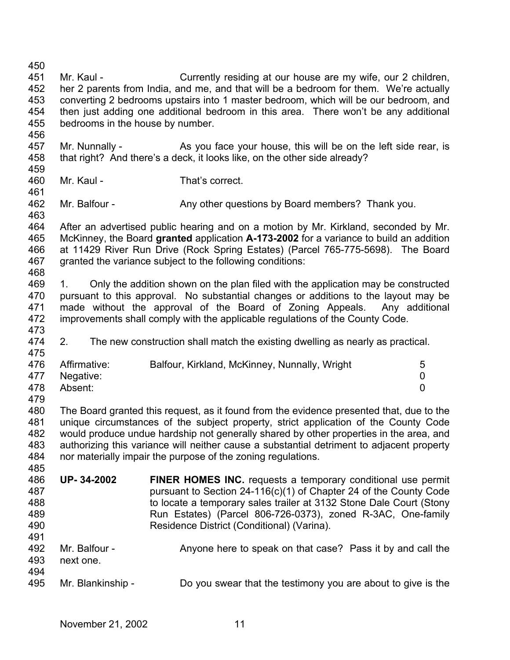457 458 459 460 463 468 473 475 476 477 478 479 480 481 482 483 484 485 486 487 488 489 490 491 492 493 495 Mr. Nunnally - As you face your house, this will be on the left side rear, is that right? And there's a deck, it looks like, on the other side already? Mr. Kaul - That's correct. Mr. Balfour - Any other questions by Board members? Thank you. After an advertised public hearing and on a motion by Mr. Kirkland, seconded by Mr. granted the variance subject to the following conditions: improvements shall comply with the applicable regulations of the County Code. 2. The new construction shall match the existing dwelling as nearly as practical. Affirmative: Balfour, Kirkland, McKinney, Nunnally, Wright 5 Negative: 0 Absent: 0 The Board granted this request, as it found from the evidence presented that, due to the unique circumstances of the subject property, strict application of the County Code would produce undue hardship not generally shared by other properties in the area, and authorizing this variance will neither cause a substantial detriment to adjacent property nor materially impair the purpose of the zoning regulations. **UP- 34-2002 FINER HOMES INC.** requests a temporary conditional use permit pursuant to Section 24-116(c)(1) of Chapter 24 of the County Code to locate a temporary sales trailer at 3132 Stone Dale Court (Stony Run Estates) (Parcel 806-726-0373), zoned R-3AC, One-family Residence District (Conditional) (Varina). Mr. Balfour - Anyone here to speak on that case? Pass it by and call the next one. November 21, 2002 11

451 452 Mr. Kaul - Currently residing at our house are my wife, our 2 children, her 2 parents from India, and me, and that will be a bedroom for them. We're actually

- 453 454 455 456 converting 2 bedrooms upstairs into 1 master bedroom, which will be our bedroom, and then just adding one additional bedroom in this area. There won't be any additional bedrooms in the house by number.
- 461 462

464 465 466 467 McKinney, the Board **granted** application **A-173-2002** for a variance to build an addition at 11429 River Run Drive (Rock Spring Estates) (Parcel 765-775-5698). The Board

- 469 470 471 472 1. Only the addition shown on the plan filed with the application may be constructed pursuant to this approval. No substantial changes or additions to the layout may be made without the approval of the Board of Zoning Appeals. Any additional
- 474

494

450

Mr. Blankinship - Do you swear that the testimony you are about to give is the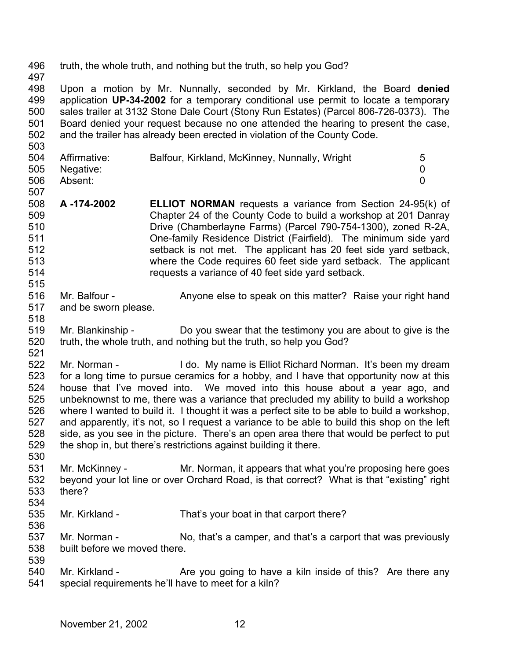496 truth, the whole truth, and nothing but the truth, so help you God?

497

503

515

518

498 499 500 501 502 Upon a motion by Mr. Nunnally, seconded by Mr. Kirkland, the Board **denied** application **UP-34-2002** for a temporary conditional use permit to locate a temporary sales trailer at 3132 Stone Dale Court (Stony Run Estates) (Parcel 806-726-0373). The Board denied your request because no one attended the hearing to present the case, and the trailer has already been erected in violation of the County Code.

| 504 | Affirmative:  | Balfour, Kirkland, McKinney, Nunnally, Wright |  |
|-----|---------------|-----------------------------------------------|--|
|     | 505 Negative: |                                               |  |
| 506 | Absent:       |                                               |  |

- 507 508 509 510 511 512 513 514 **A -174-2002 ELLIOT NORMAN** requests a variance from Section 24-95(k) of Chapter 24 of the County Code to build a workshop at 201 Danray Drive (Chamberlayne Farms) (Parcel 790-754-1300), zoned R-2A, One-family Residence District (Fairfield). The minimum side yard setback is not met. The applicant has 20 feet side yard setback, where the Code requires 60 feet side yard setback. The applicant requests a variance of 40 feet side yard setback.
- 516 517 Mr. Balfour - Anyone else to speak on this matter? Raise your right hand and be sworn please.
- 519 520 521 Mr. Blankinship - Do you swear that the testimony you are about to give is the truth, the whole truth, and nothing but the truth, so help you God?
- 522 523 524 525 526 527 528 529 Mr. Norman - The I do. My name is Elliot Richard Norman. It's been my dream for a long time to pursue ceramics for a hobby, and I have that opportunity now at this house that I've moved into. We moved into this house about a year ago, and unbeknownst to me, there was a variance that precluded my ability to build a workshop where I wanted to build it. I thought it was a perfect site to be able to build a workshop, and apparently, it's not, so I request a variance to be able to build this shop on the left side, as you see in the picture. There's an open area there that would be perfect to put the shop in, but there's restrictions against building it there.
- 531 532 533 Mr. McKinney - Mr. Norman, it appears that what you're proposing here goes beyond your lot line or over Orchard Road, is that correct? What is that "existing" right there?
- 534

536

- 535 Mr. Kirkland - That's your boat in that carport there?
- 537 538 539 Mr. Norman - No, that's a camper, and that's a carport that was previously built before we moved there.
- 540 541 Mr. Kirkland - The you going to have a kiln inside of this? Are there any special requirements he'll have to meet for a kiln?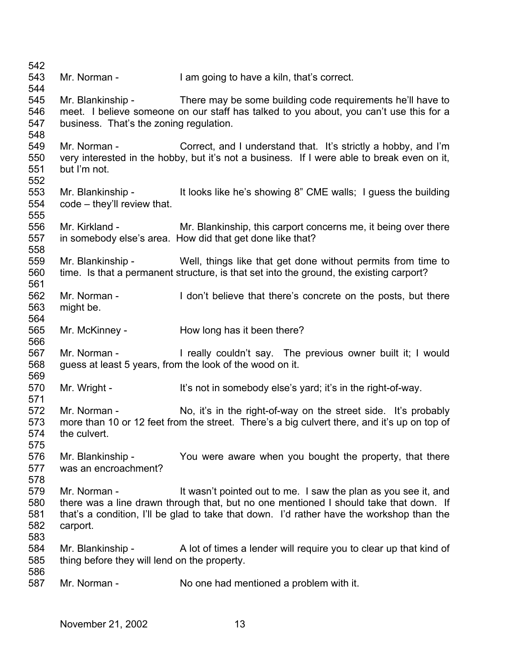| 542        |                                              |                                                                                             |
|------------|----------------------------------------------|---------------------------------------------------------------------------------------------|
| 543        | Mr. Norman -                                 | I am going to have a kiln, that's correct.                                                  |
| 544        |                                              |                                                                                             |
| 545        | Mr. Blankinship -                            | There may be some building code requirements he'll have to                                  |
| 546        |                                              | meet. I believe someone on our staff has talked to you about, you can't use this for a      |
| 547        | business. That's the zoning regulation.      |                                                                                             |
| 548        |                                              |                                                                                             |
| 549        |                                              | Mr. Norman - Correct, and I understand that. It's strictly a hobby, and I'm                 |
| 550        |                                              | very interested in the hobby, but it's not a business. If I were able to break even on it,  |
| 551        | but I'm not.                                 |                                                                                             |
| 552        |                                              |                                                                                             |
| 553        |                                              | Mr. Blankinship - It looks like he's showing 8" CME walls; I guess the building             |
| 554        | code – they'll review that.                  |                                                                                             |
| 555        |                                              |                                                                                             |
| 556        | Mr. Kirkland -                               | Mr. Blankinship, this carport concerns me, it being over there                              |
| 557        |                                              | in somebody else's area. How did that get done like that?                                   |
| 558        |                                              |                                                                                             |
| 559        | Mr. Blankinship -                            | Well, things like that get done without permits from time to                                |
| 560        |                                              | time. Is that a permanent structure, is that set into the ground, the existing carport?     |
| 561        |                                              |                                                                                             |
| 562        | Mr. Norman -                                 | I don't believe that there's concrete on the posts, but there                               |
| 563        | might be.                                    |                                                                                             |
| 564        |                                              |                                                                                             |
| 565        | Mr. McKinney -                               | How long has it been there?                                                                 |
| 566<br>567 | Mr. Norman -                                 | I really couldn't say. The previous owner built it; I would                                 |
| 568        |                                              | guess at least 5 years, from the look of the wood on it.                                    |
| 569        |                                              |                                                                                             |
| 570        | Mr. Wright -                                 | It's not in somebody else's yard; it's in the right-of-way.                                 |
| 571        |                                              |                                                                                             |
| 572        | Mr. Norman -                                 | No, it's in the right-of-way on the street side. It's probably                              |
| 573        |                                              | more than 10 or 12 feet from the street. There's a big culvert there, and it's up on top of |
| 574        | the culvert.                                 |                                                                                             |
| 575        |                                              |                                                                                             |
| 576        | Mr. Blankinship -                            | You were aware when you bought the property, that there                                     |
| 577        | was an encroachment?                         |                                                                                             |
| 578        |                                              |                                                                                             |
| 579        | Mr. Norman -                                 | It wasn't pointed out to me. I saw the plan as you see it, and                              |
| 580        |                                              | there was a line drawn through that, but no one mentioned I should take that down. If       |
| 581        |                                              | that's a condition, I'll be glad to take that down. I'd rather have the workshop than the   |
| 582        | carport.                                     |                                                                                             |
| 583        |                                              |                                                                                             |
| 584        | Mr. Blankinship -                            | A lot of times a lender will require you to clear up that kind of                           |
| 585        | thing before they will lend on the property. |                                                                                             |
| 586        |                                              |                                                                                             |
| 587        | Mr. Norman -                                 | No one had mentioned a problem with it.                                                     |
|            |                                              |                                                                                             |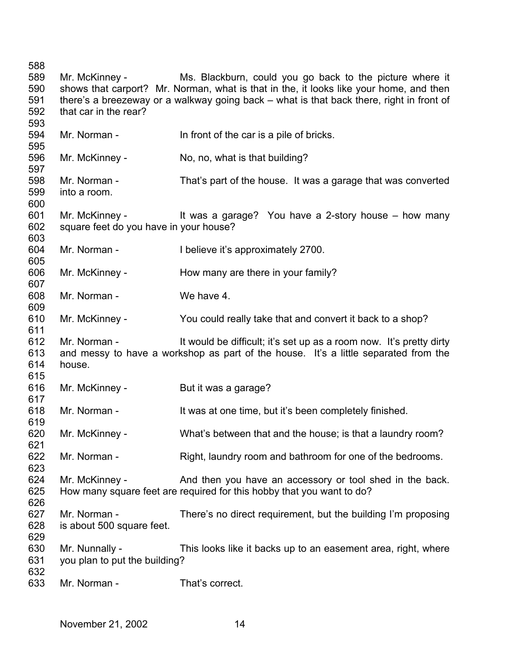Mr. McKinney - Ms. Blackburn, could you go back to the picture where it shows that carport? Mr. Norman, what is that in the, it looks like your home, and then there's a breezeway or a walkway going back – what is that back there, right in front of that car in the rear? Mr. Norman - In front of the car is a pile of bricks. Mr. McKinney - No, no, what is that building? Mr. Norman - That's part of the house. It was a garage that was converted into a room. Mr. McKinney - It was a garage? You have a 2-story house – how many square feet do you have in your house? Mr. Norman - I believe it's approximately 2700. Mr. McKinney - How many are there in your family? Mr. Norman - We have 4. Mr. McKinney - You could really take that and convert it back to a shop? Mr. Norman - It would be difficult; it's set up as a room now. It's pretty dirty and messy to have a workshop as part of the house. It's a little separated from the house. Mr. McKinney - But it was a garage? Mr. Norman - It was at one time, but it's been completely finished. Mr. McKinney - What's between that and the house; is that a laundry room? Mr. Norman - Right, laundry room and bathroom for one of the bedrooms. Mr. McKinney - And then you have an accessory or tool shed in the back. How many square feet are required for this hobby that you want to do? Mr. Norman - There's no direct requirement, but the building I'm proposing is about 500 square feet. Mr. Nunnally - This looks like it backs up to an easement area, right, where you plan to put the building? Mr. Norman - That's correct.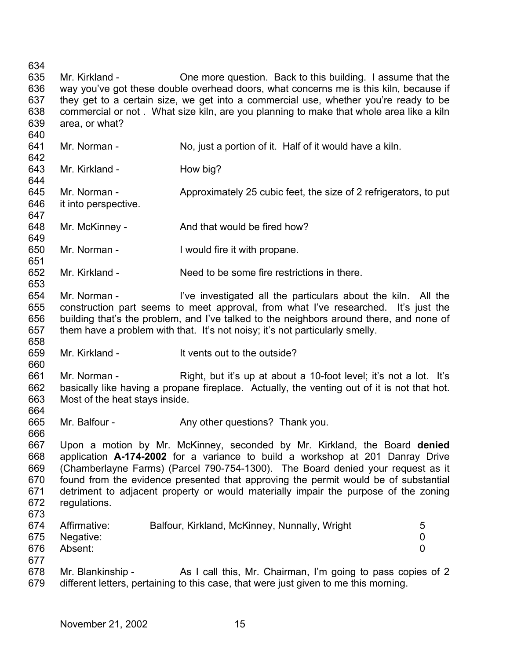634 635 636 637 638 639 Mr. Kirkland - One more question. Back to this building. I assume that the way you've got these double overhead doors, what concerns me is this kiln, because if they get to a certain size, we get into a commercial use, whether you're ready to be commercial or not . What size kiln, are you planning to make that whole area like a kiln area, or what?

641 642 643 644 645 646 647 648 649 650 651 652 653 654 655 656 657 658 659 660 661 662 663 664 665 666 667 668 669 670 671 672 673 674 675 676 677 678 679 Mr. Norman - No, just a portion of it. Half of it would have a kiln. Mr. Kirkland - How big? Mr. Norman - Approximately 25 cubic feet, the size of 2 refrigerators, to put it into perspective. Mr. McKinney - And that would be fired how? Mr. Norman - I would fire it with propane. Mr. Kirkland - Need to be some fire restrictions in there. Mr. Norman - The live investigated all the particulars about the kiln. All the construction part seems to meet approval, from what I've researched. It's just the building that's the problem, and I've talked to the neighbors around there, and none of them have a problem with that. It's not noisy; it's not particularly smelly. Mr. Kirkland - The Muslim Controller It vents out to the outside? Mr. Norman - Right, but it's up at about a 10-foot level; it's not a lot. It's basically like having a propane fireplace. Actually, the venting out of it is not that hot. Most of the heat stays inside. Mr. Balfour - Any other questions? Thank you. Upon a motion by Mr. McKinney, seconded by Mr. Kirkland, the Board **denied** application **A-174-2002** for a variance to build a workshop at 201 Danray Drive (Chamberlayne Farms) (Parcel 790-754-1300). The Board denied your request as it found from the evidence presented that approving the permit would be of substantial detriment to adjacent property or would materially impair the purpose of the zoning regulations. Affirmative: Balfour, Kirkland, McKinney, Nunnally, Wright 5 Negative: 0 Absent: 0 Mr. Blankinship - As I call this, Mr. Chairman, I'm going to pass copies of 2 different letters, pertaining to this case, that were just given to me this morning.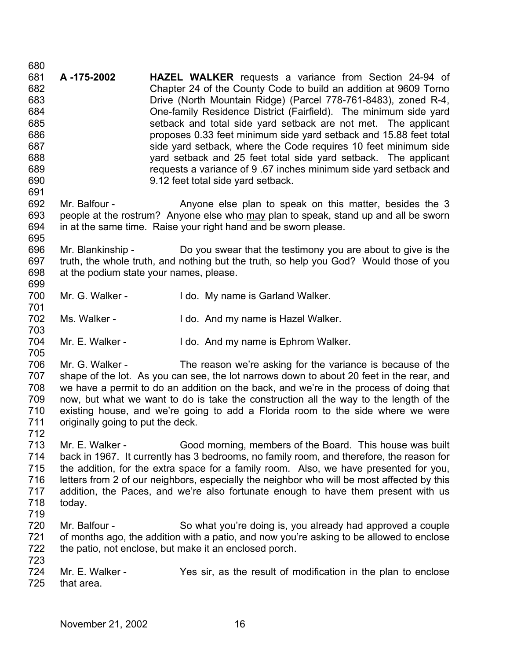680 681 682 683 684 685 686 687 688 689 690 691 692 **A -175-2002 HAZEL WALKER** requests a variance from Section 24-94 of Chapter 24 of the County Code to build an addition at 9609 Torno Drive (North Mountain Ridge) (Parcel 778-761-8483), zoned R-4, One-family Residence District (Fairfield). The minimum side yard setback and total side yard setback are not met. The applicant proposes 0.33 feet minimum side yard setback and 15.88 feet total side yard setback, where the Code requires 10 feet minimum side yard setback and 25 feet total side yard setback. The applicant requests a variance of 9 .67 inches minimum side yard setback and 9.12 feet total side yard setback. Mr. Balfour - The Anyone else plan to speak on this matter, besides the 3 people at the rostrum? Anyone else who may plan to speak, stand up and all be sworn in at the same time. Raise your right hand and be sworn please. 693 694 695

696 697 698 699 Mr. Blankinship - Do you swear that the testimony you are about to give is the truth, the whole truth, and nothing but the truth, so help you God? Would those of you at the podium state your names, please.

- 700 701 Mr. G. Walker - I do. My name is Garland Walker.
- 702 703 Ms. Walker - The Manner of I do. And my name is Hazel Walker.
- 704 Mr. E. Walker - I do. And my name is Ephrom Walker.

706 707 708 709 710 711 Mr. G. Walker - The reason we're asking for the variance is because of the shape of the lot. As you can see, the lot narrows down to about 20 feet in the rear, and we have a permit to do an addition on the back, and we're in the process of doing that now, but what we want to do is take the construction all the way to the length of the existing house, and we're going to add a Florida room to the side where we were originally going to put the deck.

712

705

713 714 715 716 717 718 719 Mr. E. Walker - Good morning, members of the Board. This house was built back in 1967. It currently has 3 bedrooms, no family room, and therefore, the reason for the addition, for the extra space for a family room. Also, we have presented for you, letters from 2 of our neighbors, especially the neighbor who will be most affected by this addition, the Paces, and we're also fortunate enough to have them present with us today.

- 720 721 722 723 Mr. Balfour - So what you're doing is, you already had approved a couple of months ago, the addition with a patio, and now you're asking to be allowed to enclose the patio, not enclose, but make it an enclosed porch.
- 724 725 Mr. E. Walker - The Yes sir, as the result of modification in the plan to enclose that area.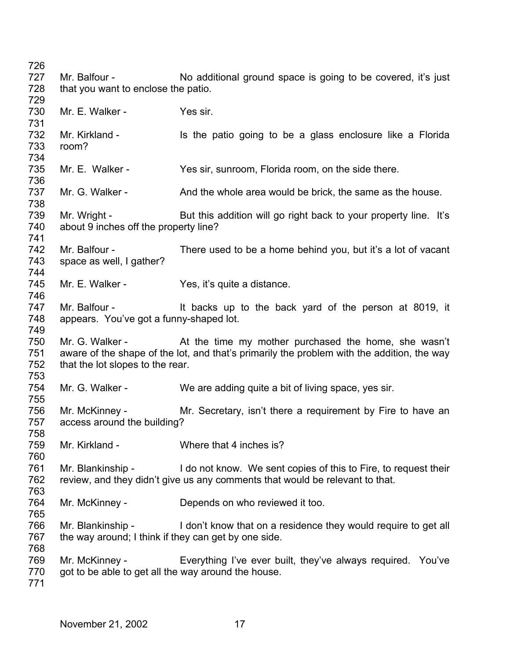Mr. Balfour - No additional ground space is going to be covered, it's just that you want to enclose the patio. Mr. F. Walker - Yes sir. Mr. Kirkland - Is the patio going to be a glass enclosure like a Florida room? Mr. E. Walker - Yes sir, sunroom, Florida room, on the side there. Mr. G. Walker - And the whole area would be brick, the same as the house. Mr. Wright - But this addition will go right back to your property line. It's about 9 inches off the property line? Mr. Balfour - There used to be a home behind you, but it's a lot of vacant space as well, I gather? Mr. E. Walker - Yes, it's quite a distance. Mr. Balfour - The Music of the back yard of the person at 8019, it appears. You've got a funny-shaped lot. Mr. G. Walker - At the time my mother purchased the home, she wasn't aware of the shape of the lot, and that's primarily the problem with the addition, the way that the lot slopes to the rear. Mr. G. Walker - We are adding quite a bit of living space, yes sir. Mr. McKinney - Mr. Secretary, isn't there a requirement by Fire to have an access around the building? Mr. Kirkland - Where that 4 inches is? Mr. Blankinship - I do not know. We sent copies of this to Fire, to request their review, and they didn't give us any comments that would be relevant to that. Mr. McKinney - Depends on who reviewed it too. Mr. Blankinship - I don't know that on a residence they would require to get all the way around; I think if they can get by one side. Mr. McKinney - Everything I've ever built, they've always required. You've got to be able to get all the way around the house.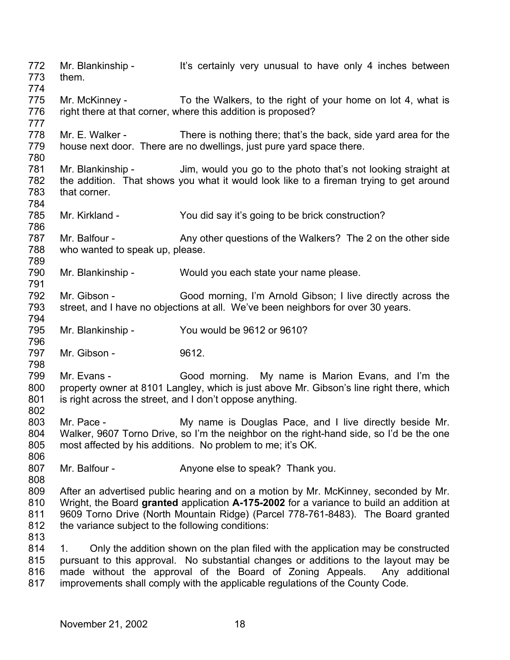772 773 774 775 776 777 778 779 780 781 782 783 784 785 786 787 788 789 790 791 792 793 794 795 796 797 798 799 800 801 802 803 804 805 806 807 808 809 810 811 812 813 814 815 816 817 Mr. Blankinship - It's certainly very unusual to have only 4 inches between them. Mr. McKinney - To the Walkers, to the right of your home on lot 4, what is right there at that corner, where this addition is proposed? Mr. E. Walker - There is nothing there; that's the back, side yard area for the house next door. There are no dwellings, just pure yard space there. Mr. Blankinship - Jim, would you go to the photo that's not looking straight at the addition. That shows you what it would look like to a fireman trying to get around that corner. Mr. Kirkland - You did say it's going to be brick construction? Mr. Balfour - Any other questions of the Walkers? The 2 on the other side who wanted to speak up, please. Mr. Blankinship - Would you each state your name please. Mr. Gibson - Good morning, I'm Arnold Gibson; I live directly across the street, and I have no objections at all. We've been neighbors for over 30 years. Mr. Blankinship - You would be 9612 or 9610? Mr. Gibson - 9612. Mr. Evans - Good morning. My name is Marion Evans, and I'm the property owner at 8101 Langley, which is just above Mr. Gibson's line right there, which is right across the street, and I don't oppose anything. Mr. Pace - **My name is Douglas Pace, and I live directly beside Mr.** Walker, 9607 Torno Drive, so I'm the neighbor on the right-hand side, so I'd be the one most affected by his additions. No problem to me; it's OK. Mr. Balfour - Anyone else to speak? Thank you. After an advertised public hearing and on a motion by Mr. McKinney, seconded by Mr. Wright, the Board **granted** application **A-175-2002** for a variance to build an addition at 9609 Torno Drive (North Mountain Ridge) (Parcel 778-761-8483). The Board granted the variance subject to the following conditions: 1. Only the addition shown on the plan filed with the application may be constructed pursuant to this approval. No substantial changes or additions to the layout may be made without the approval of the Board of Zoning Appeals. Any additional improvements shall comply with the applicable regulations of the County Code.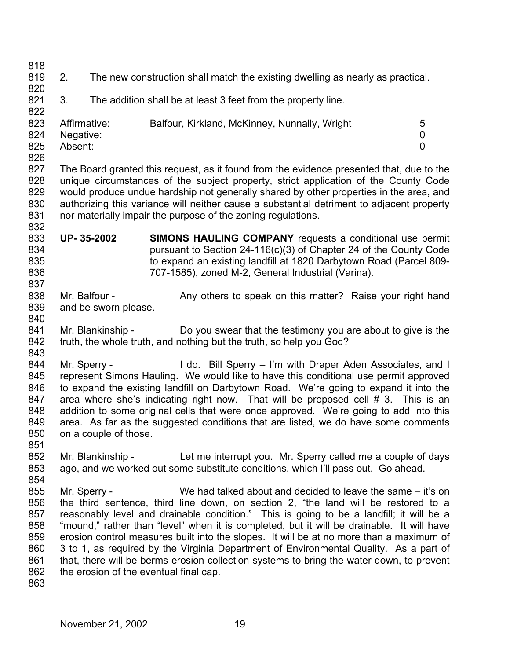818 819 820 821 822 823 824 825 826 827 828 829 830 831 832 833 834 835 836 837 838 839 840 841 842 843 844 845 846 847 848 849 850 851 852 853 854 855 856 857 858 859 860 861 862 863 2. The new construction shall match the existing dwelling as nearly as practical. 3. The addition shall be at least 3 feet from the property line. Affirmative: Balfour, Kirkland, McKinney, Nunnally, Wright 5 Negative: 0 Absent: 0 The Board granted this request, as it found from the evidence presented that, due to the unique circumstances of the subject property, strict application of the County Code would produce undue hardship not generally shared by other properties in the area, and authorizing this variance will neither cause a substantial detriment to adjacent property nor materially impair the purpose of the zoning regulations. **UP- 35-2002 SIMONS HAULING COMPANY** requests a conditional use permit pursuant to Section 24-116(c)(3) of Chapter 24 of the County Code to expand an existing landfill at 1820 Darbytown Road (Parcel 809- 707-1585), zoned M-2, General Industrial (Varina). Mr. Balfour - Any others to speak on this matter? Raise your right hand and be sworn please. Mr. Blankinship - Do you swear that the testimony you are about to give is the truth, the whole truth, and nothing but the truth, so help you God? Mr. Sperry - The Co. Bill Sperry – I'm with Draper Aden Associates, and I represent Simons Hauling. We would like to have this conditional use permit approved to expand the existing landfill on Darbytown Road. We're going to expand it into the area where she's indicating right now. That will be proposed cell # 3. This is an addition to some original cells that were once approved. We're going to add into this area. As far as the suggested conditions that are listed, we do have some comments on a couple of those. Mr. Blankinship - Let me interrupt you. Mr. Sperry called me a couple of days ago, and we worked out some substitute conditions, which I'll pass out. Go ahead. Mr. Sperry - We had talked about and decided to leave the same – it's on the third sentence, third line down, on section 2, "the land will be restored to a reasonably level and drainable condition." This is going to be a landfill; it will be a "mound," rather than "level" when it is completed, but it will be drainable. It will have erosion control measures built into the slopes. It will be at no more than a maximum of 3 to 1, as required by the Virginia Department of Environmental Quality. As a part of that, there will be berms erosion collection systems to bring the water down, to prevent the erosion of the eventual final cap.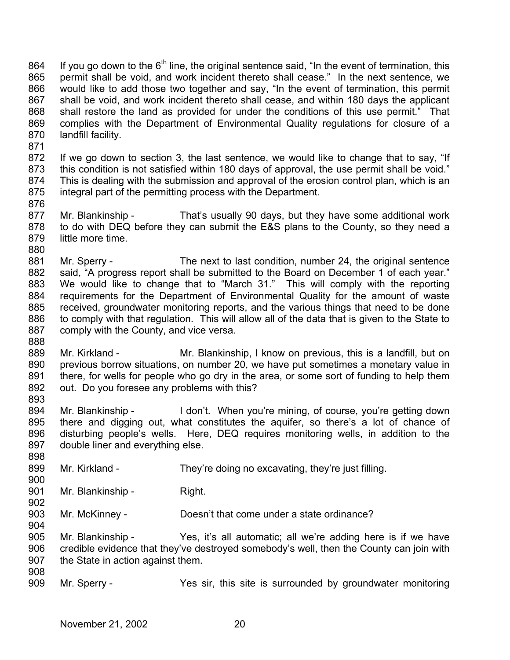If you go down to the  $6<sup>th</sup>$  line, the original sentence said, "In the event of termination, this permit shall be void, and work incident thereto shall cease." In the next sentence, we would like to add those two together and say, "In the event of termination, this permit shall be void, and work incident thereto shall cease, and within 180 days the applicant shall restore the land as provided for under the conditions of this use permit." That complies with the Department of Environmental Quality regulations for closure of a landfill facility. 864 865 866 867 868 869 870

872 873 874 875 876 If we go down to section 3, the last sentence, we would like to change that to say, "If this condition is not satisfied within 180 days of approval, the use permit shall be void." This is dealing with the submission and approval of the erosion control plan, which is an integral part of the permitting process with the Department.

- 877 878 879 880 Mr. Blankinship - That's usually 90 days, but they have some additional work to do with DEQ before they can submit the E&S plans to the County, so they need a little more time.
- 881 882 883 884 885 886 887 888 Mr. Sperry - The next to last condition, number 24, the original sentence said, "A progress report shall be submitted to the Board on December 1 of each year." We would like to change that to "March 31." This will comply with the reporting requirements for the Department of Environmental Quality for the amount of waste received, groundwater monitoring reports, and the various things that need to be done to comply with that regulation. This will allow all of the data that is given to the State to comply with the County, and vice versa.
- 889 890 891 892 893 Mr. Kirkland - Mr. Blankinship, I know on previous, this is a landfill, but on previous borrow situations, on number 20, we have put sometimes a monetary value in there, for wells for people who go dry in the area, or some sort of funding to help them out. Do you foresee any problems with this?
- 894 895 896 897 Mr. Blankinship - I don't. When you're mining, of course, you're getting down there and digging out, what constitutes the aquifer, so there's a lot of chance of disturbing people's wells. Here, DEQ requires monitoring wells, in addition to the double liner and everything else.
- 899 Mr. Kirkland - They're doing no excavating, they're just filling.
- 901 Mr. Blankinship - Right.

871

898

900

902

- 903 Mr. McKinney - Doesn't that come under a state ordinance?
- 905 906 907 908 Mr. Blankinship - Yes, it's all automatic; all we're adding here is if we have credible evidence that they've destroyed somebody's well, then the County can join with the State in action against them.
- 909 Mr. Sperry - The Yes sir, this site is surrounded by groundwater monitoring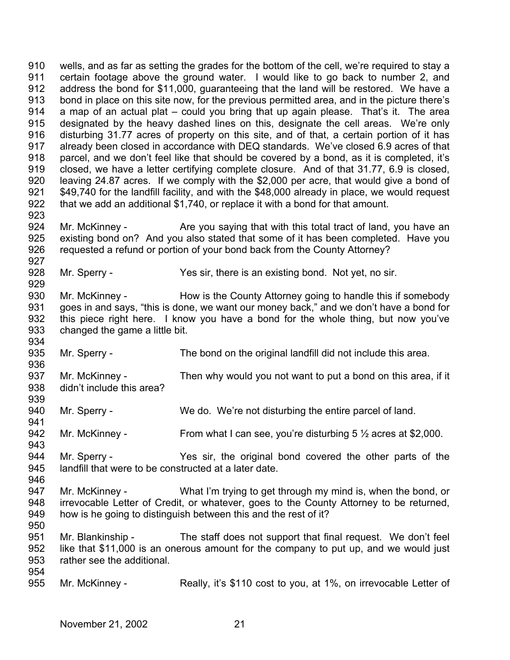910 911 912 913 914 915 916 917 918 919 920 921 922 923 wells, and as far as setting the grades for the bottom of the cell, we're required to stay a certain footage above the ground water. I would like to go back to number 2, and address the bond for \$11,000, guaranteeing that the land will be restored. We have a bond in place on this site now, for the previous permitted area, and in the picture there's a map of an actual plat – could you bring that up again please. That's it. The area designated by the heavy dashed lines on this, designate the cell areas. We're only disturbing 31.77 acres of property on this site, and of that, a certain portion of it has already been closed in accordance with DEQ standards. We've closed 6.9 acres of that parcel, and we don't feel like that should be covered by a bond, as it is completed, it's closed, we have a letter certifying complete closure. And of that 31.77, 6.9 is closed, leaving 24.87 acres. If we comply with the \$2,000 per acre, that would give a bond of \$49,740 for the landfill facility, and with the \$48,000 already in place, we would request that we add an additional \$1,740, or replace it with a bond for that amount.

924 925 926 927 Mr. McKinney - The Same vou saying that with this total tract of land, you have an existing bond on? And you also stated that some of it has been completed. Have you requested a refund or portion of your bond back from the County Attorney?

928 Mr. Sperry - Yes sir, there is an existing bond. Not yet, no sir.

930 931 932 933 934 Mr. McKinney - How is the County Attorney going to handle this if somebody goes in and says, "this is done, we want our money back," and we don't have a bond for this piece right here. I know you have a bond for the whole thing, but now you've changed the game a little bit.

935 Mr. Sperry - The bond on the original landfill did not include this area.

937 938 939 Mr. McKinney - Then why would you not want to put a bond on this area, if it didn't include this area?

940 941 Mr. Sperry - We do. We're not disturbing the entire parcel of land.

942 Mr. McKinney - From what I can see, you're disturbing  $5\frac{1}{2}$  acres at \$2,000.

944 945 Mr. Sperry - The Yes sir, the original bond covered the other parts of the landfill that were to be constructed at a later date.

947 948 949 Mr. McKinney - What I'm trying to get through my mind is, when the bond, or irrevocable Letter of Credit, or whatever, goes to the County Attorney to be returned, how is he going to distinguish between this and the rest of it?

951 952 953 954 Mr. Blankinship - The staff does not support that final request. We don't feel like that \$11,000 is an onerous amount for the company to put up, and we would just rather see the additional.

955 Mr. McKinney - Really, it's \$110 cost to you, at 1%, on irrevocable Letter of

929

936

943

946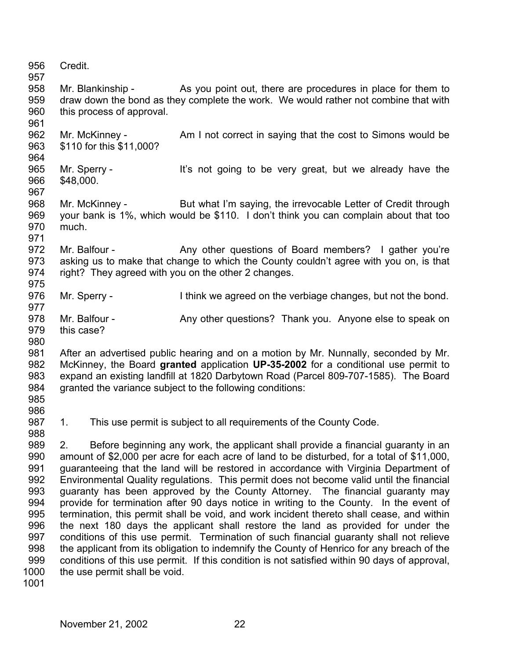956 957 958 959 960 961 962 963 964 965 966 967 968 969 970 971 972 973 974 975 976 977 978 979 980 981 982 983 984 985 986 987 988 989 990 991 992 993 994 995 996 997 998 999 1000 Credit. Mr. Blankinship - As you point out, there are procedures in place for them to draw down the bond as they complete the work. We would rather not combine that with this process of approval. Mr. McKinney - Am I not correct in saying that the cost to Simons would be \$110 for this \$11,000? Mr. Sperry - It's not going to be very great, but we already have the \$48,000. Mr. McKinney - But what I'm saying, the irrevocable Letter of Credit through your bank is 1%, which would be \$110. I don't think you can complain about that too much. Mr. Balfour - Any other questions of Board members? I gather you're asking us to make that change to which the County couldn't agree with you on, is that right? They agreed with you on the other 2 changes. Mr. Sperry - Think we agreed on the verbiage changes, but not the bond. Mr. Balfour - Any other questions? Thank you. Anyone else to speak on this case? After an advertised public hearing and on a motion by Mr. Nunnally, seconded by Mr. McKinney, the Board **granted** application **UP-35-2002** for a conditional use permit to expand an existing landfill at 1820 Darbytown Road (Parcel 809-707-1585). The Board granted the variance subject to the following conditions: 1. This use permit is subject to all requirements of the County Code. 2. Before beginning any work, the applicant shall provide a financial guaranty in an amount of \$2,000 per acre for each acre of land to be disturbed, for a total of \$11,000, guaranteeing that the land will be restored in accordance with Virginia Department of Environmental Quality regulations. This permit does not become valid until the financial guaranty has been approved by the County Attorney. The financial guaranty may provide for termination after 90 days notice in writing to the County. In the event of termination, this permit shall be void, and work incident thereto shall cease, and within the next 180 days the applicant shall restore the land as provided for under the conditions of this use permit. Termination of such financial guaranty shall not relieve the applicant from its obligation to indemnify the County of Henrico for any breach of the conditions of this use permit. If this condition is not satisfied within 90 days of approval, the use permit shall be void.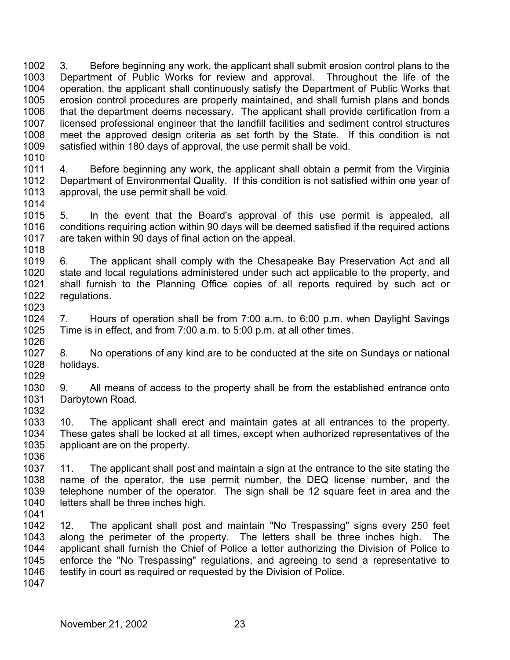1002 1003 1004 1005 1006 1007 1008 1009 1010 3. Before beginning any work, the applicant shall submit erosion control plans to the Department of Public Works for review and approval. Throughout the life of the operation, the applicant shall continuously satisfy the Department of Public Works that erosion control procedures are properly maintained, and shall furnish plans and bonds that the department deems necessary. The applicant shall provide certification from a licensed professional engineer that the landfill facilities and sediment control structures meet the approved design criteria as set forth by the State. If this condition is not satisfied within 180 days of approval, the use permit shall be void.

1011 1012 1013 1014 4. Before beginning any work, the applicant shall obtain a permit from the Virginia Department of Environmental Quality. If this condition is not satisfied within one year of approval, the use permit shall be void.

1015 1016 1017 1018 5. In the event that the Board's approval of this use permit is appealed, all conditions requiring action within 90 days will be deemed satisfied if the required actions are taken within 90 days of final action on the appeal.

1019 1020 1021 1022 1023 6. The applicant shall comply with the Chesapeake Bay Preservation Act and all state and local regulations administered under such act applicable to the property, and shall furnish to the Planning Office copies of all reports required by such act or regulations.

1024 1025 1026 7. Hours of operation shall be from 7:00 a.m. to 6:00 p.m. when Daylight Savings Time is in effect, and from 7:00 a.m. to 5:00 p.m. at all other times.

1027 1028 1029 8. No operations of any kind are to be conducted at the site on Sundays or national holidays.

1030 1031 1032 9. All means of access to the property shall be from the established entrance onto Darbytown Road.

1033 1034 1035 1036 10. The applicant shall erect and maintain gates at all entrances to the property. These gates shall be locked at all times, except when authorized representatives of the applicant are on the property.

1037 1038 1039 1040 11. The applicant shall post and maintain a sign at the entrance to the site stating the name of the operator, the use permit number, the DEQ license number, and the telephone number of the operator. The sign shall be 12 square feet in area and the letters shall be three inches high.

1041

1042 1043 1044 1045 1046 12. The applicant shall post and maintain "No Trespassing" signs every 250 feet along the perimeter of the property. The letters shall be three inches high. The applicant shall furnish the Chief of Police a letter authorizing the Division of Police to enforce the "No Trespassing" regulations, and agreeing to send a representative to testify in court as required or requested by the Division of Police.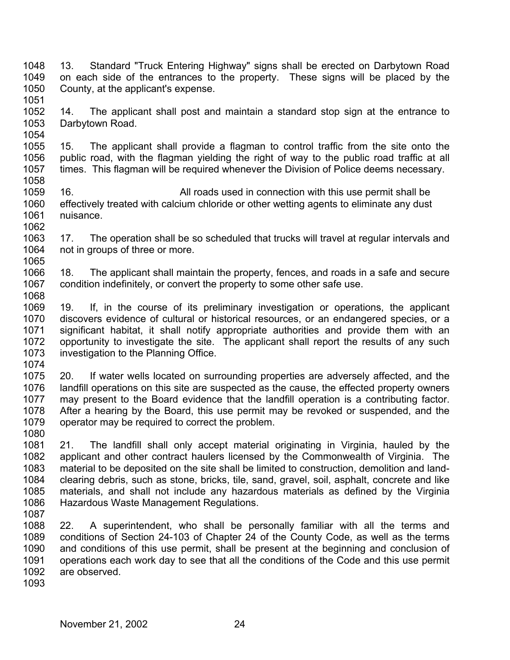- 1048 1049 1050 1051 13. Standard "Truck Entering Highway" signs shall be erected on Darbytown Road on each side of the entrances to the property. These signs will be placed by the County, at the applicant's expense.
- 1052 1053 1054 14. The applicant shall post and maintain a standard stop sign at the entrance to Darbytown Road.
- 1055 1056 1057 1058 15. The applicant shall provide a flagman to control traffic from the site onto the public road, with the flagman yielding the right of way to the public road traffic at all times. This flagman will be required whenever the Division of Police deems necessary.
- 1059 1060 1061 1062 16. All roads used in connection with this use permit shall be effectively treated with calcium chloride or other wetting agents to eliminate any dust nuisance.
- 1063 1064 1065 17. The operation shall be so scheduled that trucks will travel at regular intervals and not in groups of three or more.
- 1066 1067 1068 18. The applicant shall maintain the property, fences, and roads in a safe and secure condition indefinitely, or convert the property to some other safe use.
- 1069 1070 1071 1072 1073 19. If, in the course of its preliminary investigation or operations, the applicant discovers evidence of cultural or historical resources, or an endangered species, or a significant habitat, it shall notify appropriate authorities and provide them with an opportunity to investigate the site. The applicant shall report the results of any such investigation to the Planning Office.
- 1074
- 1075 1076 1077 1078 1079 20. If water wells located on surrounding properties are adversely affected, and the landfill operations on this site are suspected as the cause, the effected property owners may present to the Board evidence that the landfill operation is a contributing factor. After a hearing by the Board, this use permit may be revoked or suspended, and the operator may be required to correct the problem.
- 1080
- 1081 1082 1083 1084 1085 1086 21. The landfill shall only accept material originating in Virginia, hauled by the applicant and other contract haulers licensed by the Commonwealth of Virginia. The material to be deposited on the site shall be limited to construction, demolition and landclearing debris, such as stone, bricks, tile, sand, gravel, soil, asphalt, concrete and like materials, and shall not include any hazardous materials as defined by the Virginia Hazardous Waste Management Regulations.
- 1087

1088 1089 1090 1091 1092 22. A superintendent, who shall be personally familiar with all the terms and conditions of Section 24-103 of Chapter 24 of the County Code, as well as the terms and conditions of this use permit, shall be present at the beginning and conclusion of operations each work day to see that all the conditions of the Code and this use permit are observed.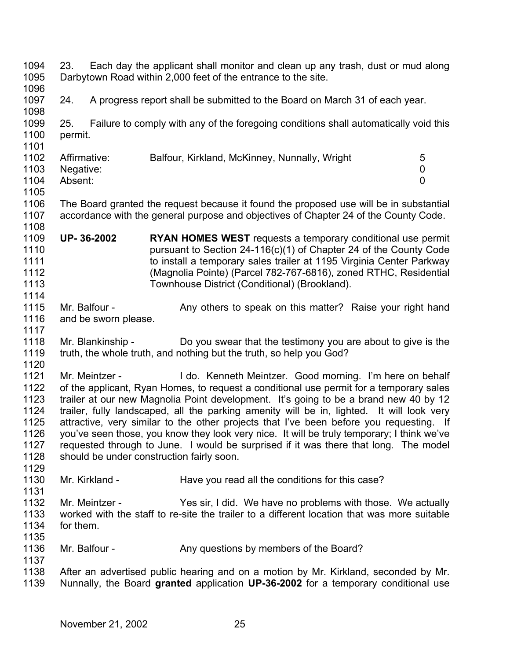1094 1095 1096 1097 1098 1099 1100 1101 1102 1103 1104 1105 1106 1107 1108 1109 1110 1111 1112 1113 1114 1115 1116 1117 1118 1119 1120 1121 1122 1123 1124 1125 1126 1127 1128 1129 1130 1131 1132 1133 1134 1135 1136 1137 1138 1139 23. Each day the applicant shall monitor and clean up any trash, dust or mud along Darbytown Road within 2,000 feet of the entrance to the site. 24. A progress report shall be submitted to the Board on March 31 of each year. 25. Failure to comply with any of the foregoing conditions shall automatically void this permit. Affirmative: Balfour, Kirkland, McKinney, Nunnally, Wright 5 Negative: 0 Absent: 0 The Board granted the request because it found the proposed use will be in substantial accordance with the general purpose and objectives of Chapter 24 of the County Code. **UP- 36-2002 RYAN HOMES WEST** requests a temporary conditional use permit pursuant to Section 24-116(c)(1) of Chapter 24 of the County Code to install a temporary sales trailer at 1195 Virginia Center Parkway (Magnolia Pointe) (Parcel 782-767-6816), zoned RTHC, Residential Townhouse District (Conditional) (Brookland). Mr. Balfour - Any others to speak on this matter? Raise your right hand and be sworn please. Mr. Blankinship - Do you swear that the testimony you are about to give is the truth, the whole truth, and nothing but the truth, so help you God? Mr. Meintzer - I do. Kenneth Meintzer. Good morning. I'm here on behalf of the applicant, Ryan Homes, to request a conditional use permit for a temporary sales trailer at our new Magnolia Point development. It's going to be a brand new 40 by 12 trailer, fully landscaped, all the parking amenity will be in, lighted. It will look very attractive, very similar to the other projects that I've been before you requesting. If you've seen those, you know they look very nice. It will be truly temporary; I think we've requested through to June. I would be surprised if it was there that long. The model should be under construction fairly soon. Mr. Kirkland - Have you read all the conditions for this case? Mr. Meintzer - Yes sir, I did. We have no problems with those. We actually worked with the staff to re-site the trailer to a different location that was more suitable for them. Mr. Balfour - The Any questions by members of the Board? After an advertised public hearing and on a motion by Mr. Kirkland, seconded by Mr. Nunnally, the Board **granted** application **UP-36-2002** for a temporary conditional use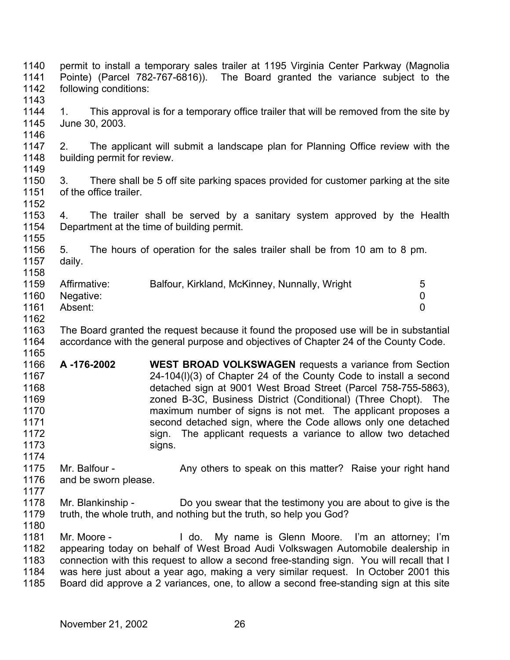1140 1141 1142 1143 1144 1145 1146 1147 1148 1149 1150 1151 1152 1153 1154 1155 1156 1157 1158 1159 1160 1161 1162 1163 1164 1165 1166 1167 1168 1169 1170 1171 1172 1173 1174 1175 1176 1177 1178 1179 1180 1181 1182 1183 1184 1185 permit to install a temporary sales trailer at 1195 Virginia Center Parkway (Magnolia Pointe) (Parcel 782-767-6816)). The Board granted the variance subject to the following conditions: 1. This approval is for a temporary office trailer that will be removed from the site by June 30, 2003. 2. The applicant will submit a landscape plan for Planning Office review with the building permit for review. 3. There shall be 5 off site parking spaces provided for customer parking at the site of the office trailer. 4. The trailer shall be served by a sanitary system approved by the Health Department at the time of building permit. 5. The hours of operation for the sales trailer shall be from 10 am to 8 pm. daily. Affirmative: Balfour, Kirkland, McKinney, Nunnally, Wright 5 Negative: 0 Absent: 0 The Board granted the request because it found the proposed use will be in substantial accordance with the general purpose and objectives of Chapter 24 of the County Code. **A -176-2002 WEST BROAD VOLKSWAGEN** requests a variance from Section 24-104(l)(3) of Chapter 24 of the County Code to install a second detached sign at 9001 West Broad Street (Parcel 758-755-5863), zoned B-3C, Business District (Conditional) (Three Chopt). The maximum number of signs is not met. The applicant proposes a second detached sign, where the Code allows only one detached sign. The applicant requests a variance to allow two detached signs. Mr. Balfour - Any others to speak on this matter? Raise your right hand and be sworn please. Mr. Blankinship - Do you swear that the testimony you are about to give is the truth, the whole truth, and nothing but the truth, so help you God? Mr. Moore - The My name is Glenn Moore. I'm an attorney; I'm appearing today on behalf of West Broad Audi Volkswagen Automobile dealership in connection with this request to allow a second free-standing sign. You will recall that I was here just about a year ago, making a very similar request. In October 2001 this Board did approve a 2 variances, one, to allow a second free-standing sign at this site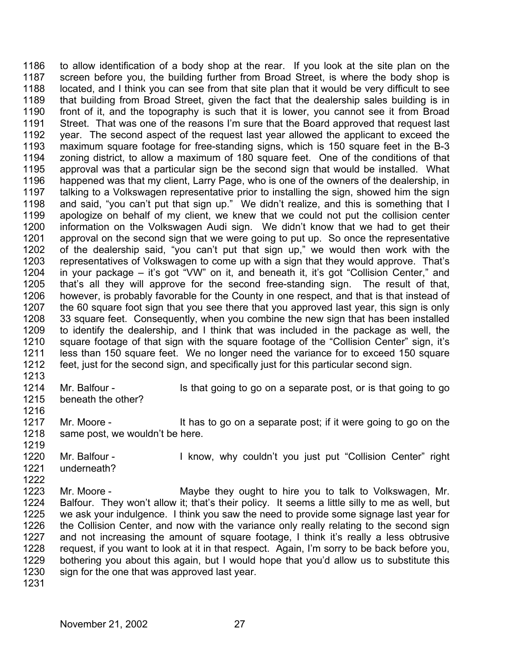1186 1187 1188 1189 1190 1191 1192 1193 1194 1195 1196 1197 1198 1199 1200 1201 1202 1203 1204 1205 1206 1207 1208 1209 1210 1211 1212 to allow identification of a body shop at the rear. If you look at the site plan on the screen before you, the building further from Broad Street, is where the body shop is located, and I think you can see from that site plan that it would be very difficult to see that building from Broad Street, given the fact that the dealership sales building is in front of it, and the topography is such that it is lower, you cannot see it from Broad Street. That was one of the reasons I'm sure that the Board approved that request last year. The second aspect of the request last year allowed the applicant to exceed the maximum square footage for free-standing signs, which is 150 square feet in the B-3 zoning district, to allow a maximum of 180 square feet. One of the conditions of that approval was that a particular sign be the second sign that would be installed. What happened was that my client, Larry Page, who is one of the owners of the dealership, in talking to a Volkswagen representative prior to installing the sign, showed him the sign and said, "you can't put that sign up." We didn't realize, and this is something that I apologize on behalf of my client, we knew that we could not put the collision center information on the Volkswagen Audi sign. We didn't know that we had to get their approval on the second sign that we were going to put up. So once the representative of the dealership said, "you can't put that sign up," we would then work with the representatives of Volkswagen to come up with a sign that they would approve. That's in your package – it's got "VW" on it, and beneath it, it's got "Collision Center," and that's all they will approve for the second free-standing sign. The result of that, however, is probably favorable for the County in one respect, and that is that instead of the 60 square foot sign that you see there that you approved last year, this sign is only 33 square feet. Consequently, when you combine the new sign that has been installed to identify the dealership, and I think that was included in the package as well, the square footage of that sign with the square footage of the "Collision Center" sign, it's less than 150 square feet. We no longer need the variance for to exceed 150 square feet, just for the second sign, and specifically just for this particular second sign.

1213

1216

1219

1222

1214 1215 Mr. Balfour - Is that going to go on a separate post, or is that going to go beneath the other?

1217 1218 Mr. Moore - It has to go on a separate post; if it were going to go on the same post, we wouldn't be here.

1220 1221 Mr. Balfour - I know, why couldn't you just put "Collision Center" right underneath?

- 1223 1224 1225 1226 1227 1228 1229 1230 Mr. Moore - **Maybe they ought to hire you to talk to Volkswagen, Mr.** Balfour. They won't allow it; that's their policy. It seems a little silly to me as well, but we ask your indulgence. I think you saw the need to provide some signage last year for the Collision Center, and now with the variance only really relating to the second sign and not increasing the amount of square footage, I think it's really a less obtrusive request, if you want to look at it in that respect. Again, I'm sorry to be back before you, bothering you about this again, but I would hope that you'd allow us to substitute this sign for the one that was approved last year.
- 1231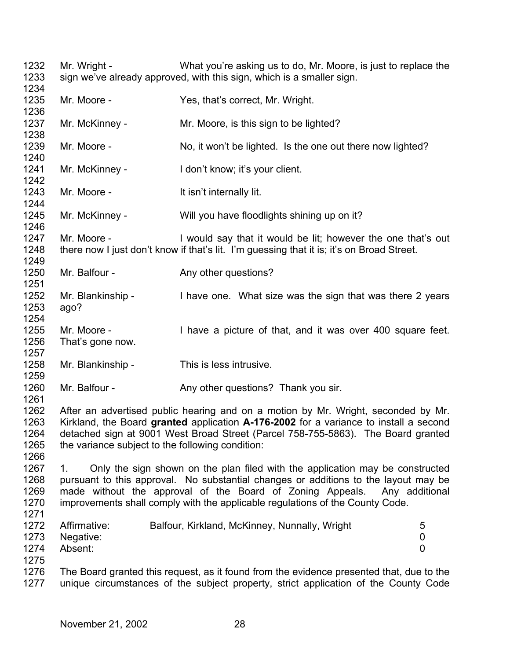1232 1233 1234 1235 1236 1237 1238 1239 1240 1241 1242 1243 1244 1245 1246 1247 1248 1249 1250 1251 1252 1253 1254 1255 1256 1257 1258 1259 1260 1261 1262 1263 1264 1265 1266 1267 1268 1269 1270 1271 1272 1273 1274 1275 1276 1277 Mr. Wright - What you're asking us to do, Mr. Moore, is just to replace the sign we've already approved, with this sign, which is a smaller sign. Mr. Moore - Yes, that's correct, Mr. Wright. Mr. McKinney - Mr. Moore, is this sign to be lighted? Mr. Moore - No, it won't be lighted. Is the one out there now lighted? Mr. McKinney - I don't know; it's your client. Mr. Moore - The Muslim Health isn't internally lit. Mr. McKinney - Will you have floodlights shining up on it? Mr. Moore - I would say that it would be lit; however the one that's out there now I just don't know if that's lit. I'm guessing that it is; it's on Broad Street. Mr. Balfour - Any other questions? Mr. Blankinship - I have one. What size was the sign that was there 2 years ago? Mr. Moore - Thave a picture of that, and it was over 400 square feet. That's gone now. Mr. Blankinship - This is less intrusive. Mr. Balfour - Any other questions? Thank you sir. After an advertised public hearing and on a motion by Mr. Wright, seconded by Mr. Kirkland, the Board **granted** application **A-176-2002** for a variance to install a second detached sign at 9001 West Broad Street (Parcel 758-755-5863). The Board granted the variance subject to the following condition: 1. Only the sign shown on the plan filed with the application may be constructed pursuant to this approval. No substantial changes or additions to the layout may be made without the approval of the Board of Zoning Appeals. Any additional improvements shall comply with the applicable regulations of the County Code. Affirmative: Balfour, Kirkland, McKinney, Nunnally, Wright 5 Negative: 0 Absent: 0 The Board granted this request, as it found from the evidence presented that, due to the unique circumstances of the subject property, strict application of the County Code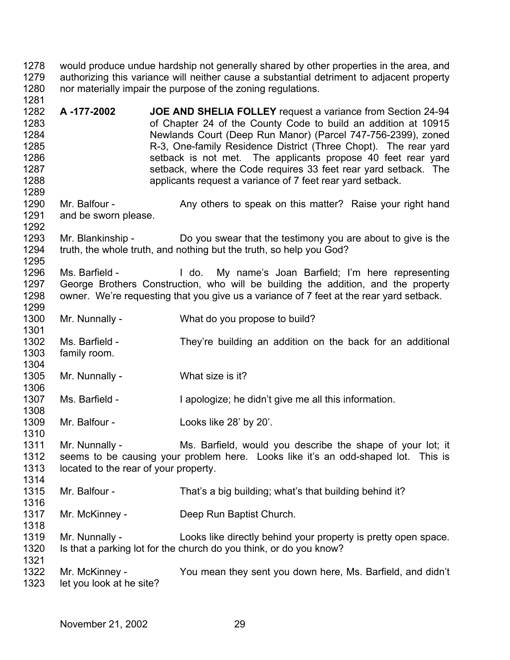1278 1279 1280 1281 would produce undue hardship not generally shared by other properties in the area, and authorizing this variance will neither cause a substantial detriment to adjacent property nor materially impair the purpose of the zoning regulations.

1282 1283 1284 1285 1286 1287 1288 1289 **A -177-2002 JOE AND SHELIA FOLLEY** request a variance from Section 24-94 of Chapter 24 of the County Code to build an addition at 10915 Newlands Court (Deep Run Manor) (Parcel 747-756-2399), zoned R-3, One-family Residence District (Three Chopt). The rear yard setback is not met. The applicants propose 40 feet rear yard setback, where the Code requires 33 feet rear yard setback. The applicants request a variance of 7 feet rear yard setback.

1290 1291 1292 Mr. Balfour - Any others to speak on this matter? Raise your right hand and be sworn please.

1293 1294 1295 Mr. Blankinship - Do you swear that the testimony you are about to give is the truth, the whole truth, and nothing but the truth, so help you God?

1296 1297 1298 1299 Ms. Barfield - I do. My name's Joan Barfield; I'm here representing George Brothers Construction, who will be building the addition, and the property owner. We're requesting that you give us a variance of 7 feet at the rear yard setback.

1300 Mr. Nunnally - What do you propose to build?

1302 1303 1304 Ms. Barfield - They're building an addition on the back for an additional family room.

1305 Mr. Nunnally - What size is it?

1301

1306

1308

1310

1316

1318

1307 Ms. Barfield - I apologize; he didn't give me all this information.

1309 Mr. Balfour - Looks like 28' by 20'.

1311 1312 1313 1314 Mr. Nunnally - Ms. Barfield, would you describe the shape of your lot; it seems to be causing your problem here. Looks like it's an odd-shaped lot. This is located to the rear of your property.

1315 Mr. Balfour - That's a big building; what's that building behind it?

1317 Mr. McKinney - Deep Run Baptist Church.

1319 1320 1321 Mr. Nunnally - Looks like directly behind your property is pretty open space. Is that a parking lot for the church do you think, or do you know?

1322 1323 Mr. McKinney - You mean they sent you down here, Ms. Barfield, and didn't let you look at he site?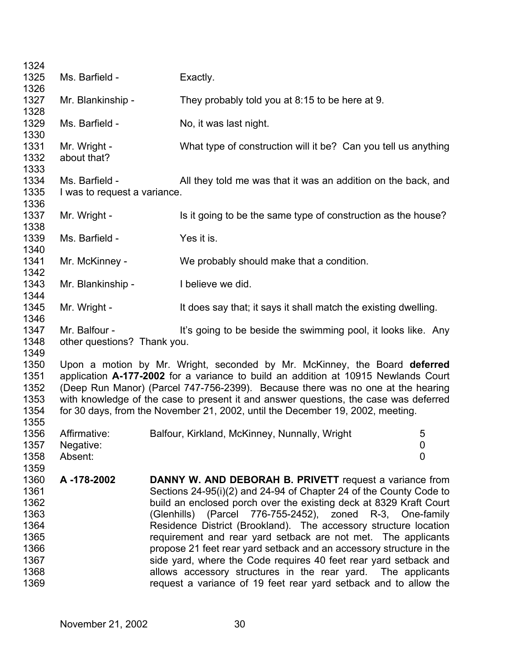| 1324         |                              |  |                                                                                      |                  |
|--------------|------------------------------|--|--------------------------------------------------------------------------------------|------------------|
| 1325         | Ms. Barfield -               |  | Exactly.                                                                             |                  |
| 1326         |                              |  |                                                                                      |                  |
| 1327         | Mr. Blankinship -            |  | They probably told you at 8:15 to be here at 9.                                      |                  |
| 1328         |                              |  |                                                                                      |                  |
| 1329<br>1330 | Ms. Barfield -               |  | No, it was last night.                                                               |                  |
| 1331         | Mr. Wright -                 |  | What type of construction will it be? Can you tell us anything                       |                  |
| 1332         | about that?                  |  |                                                                                      |                  |
| 1333         |                              |  |                                                                                      |                  |
| 1334         | Ms. Barfield -               |  | All they told me was that it was an addition on the back, and                        |                  |
| 1335         | I was to request a variance. |  |                                                                                      |                  |
| 1336         |                              |  |                                                                                      |                  |
| 1337         | Mr. Wright -                 |  | Is it going to be the same type of construction as the house?                        |                  |
| 1338         |                              |  |                                                                                      |                  |
| 1339         | Ms. Barfield -               |  | Yes it is.                                                                           |                  |
| 1340         |                              |  |                                                                                      |                  |
| 1341         | Mr. McKinney -               |  | We probably should make that a condition.                                            |                  |
| 1342         |                              |  |                                                                                      |                  |
| 1343<br>1344 | Mr. Blankinship -            |  | I believe we did.                                                                    |                  |
| 1345         | Mr. Wright -                 |  | It does say that, it says it shall match the existing dwelling.                      |                  |
| 1346         |                              |  |                                                                                      |                  |
| 1347         | Mr. Balfour -                |  | It's going to be beside the swimming pool, it looks like. Any                        |                  |
| 1348         | other questions? Thank you.  |  |                                                                                      |                  |
| 1349         |                              |  |                                                                                      |                  |
| 1350         |                              |  | Upon a motion by Mr. Wright, seconded by Mr. McKinney, the Board deferred            |                  |
| 1351         |                              |  | application A-177-2002 for a variance to build an addition at 10915 Newlands Court   |                  |
| 1352         |                              |  | (Deep Run Manor) (Parcel 747-756-2399). Because there was no one at the hearing      |                  |
| 1353         |                              |  | with knowledge of the case to present it and answer questions, the case was deferred |                  |
| 1354         |                              |  | for 30 days, from the November 21, 2002, until the December 19, 2002, meeting.       |                  |
| 1355         |                              |  |                                                                                      |                  |
| 1356         | Affirmative:                 |  | Balfour, Kirkland, McKinney, Nunnally, Wright                                        | 5                |
| 1357         | Negative:                    |  |                                                                                      | $\boldsymbol{0}$ |
| 1358         | Absent:                      |  |                                                                                      | $\overline{0}$   |
| 1359<br>1360 | A-178-2002                   |  | <b>DANNY W. AND DEBORAH B. PRIVETT</b> request a variance from                       |                  |
| 1361         |                              |  | Sections 24-95(i)(2) and 24-94 of Chapter 24 of the County Code to                   |                  |
| 1362         |                              |  | build an enclosed porch over the existing deck at 8329 Kraft Court                   |                  |
| 1363         |                              |  | (Glenhills) (Parcel 776-755-2452), zoned R-3, One-family                             |                  |
| 1364         |                              |  | Residence District (Brookland). The accessory structure location                     |                  |
| 1365         |                              |  | requirement and rear yard setback are not met. The applicants                        |                  |
| 1366         |                              |  | propose 21 feet rear yard setback and an accessory structure in the                  |                  |
| 1367         |                              |  | side yard, where the Code requires 40 feet rear yard setback and                     |                  |
| 1368         |                              |  | allows accessory structures in the rear yard. The applicants                         |                  |
| 1369         |                              |  | request a variance of 19 feet rear yard setback and to allow the                     |                  |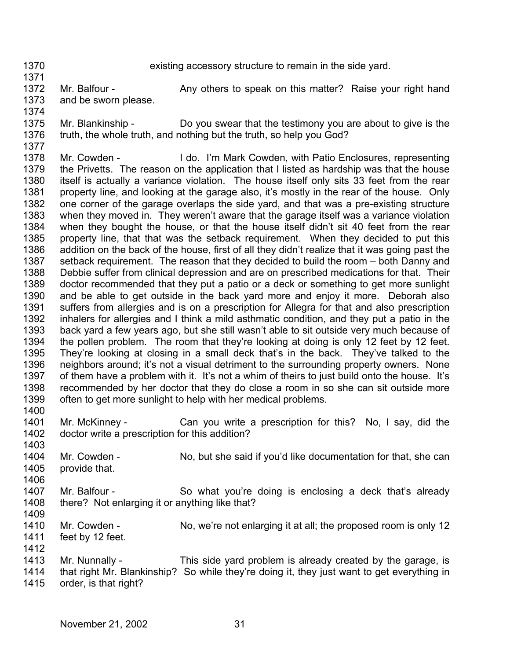1370 1371 existing accessory structure to remain in the side yard.

1372 1373 Mr. Balfour - Any others to speak on this matter? Raise your right hand and be sworn please.

1374

1375 1376 Mr. Blankinship - Do you swear that the testimony you are about to give is the truth, the whole truth, and nothing but the truth, so help you God?

- 1377 1378 1379 1380 1381 1382 1383 1384 1385 1386 1387 1388 1389 1390 1391 1392 1393 1394 1395 1396 1397 1398 1399 Mr. Cowden - I do. I'm Mark Cowden, with Patio Enclosures, representing the Privetts. The reason on the application that I listed as hardship was that the house itself is actually a variance violation. The house itself only sits 33 feet from the rear property line, and looking at the garage also, it's mostly in the rear of the house. Only one corner of the garage overlaps the side yard, and that was a pre-existing structure when they moved in. They weren't aware that the garage itself was a variance violation when they bought the house, or that the house itself didn't sit 40 feet from the rear property line, that that was the setback requirement. When they decided to put this addition on the back of the house, first of all they didn't realize that it was going past the setback requirement. The reason that they decided to build the room – both Danny and Debbie suffer from clinical depression and are on prescribed medications for that. Their doctor recommended that they put a patio or a deck or something to get more sunlight and be able to get outside in the back yard more and enjoy it more. Deborah also suffers from allergies and is on a prescription for Allegra for that and also prescription inhalers for allergies and I think a mild asthmatic condition, and they put a patio in the back yard a few years ago, but she still wasn't able to sit outside very much because of the pollen problem. The room that they're looking at doing is only 12 feet by 12 feet. They're looking at closing in a small deck that's in the back. They've talked to the neighbors around; it's not a visual detriment to the surrounding property owners. None of them have a problem with it. It's not a whim of theirs to just build onto the house. It's recommended by her doctor that they do close a room in so she can sit outside more often to get more sunlight to help with her medical problems.
- 1401 1402 Mr. McKinney - Can you write a prescription for this? No, I say, did the doctor write a prescription for this addition?
- 1403 1404 1405 Mr. Cowden - No, but she said if you'd like documentation for that, she can provide that.
- 1406

1412

1400

1407 1408 1409 Mr. Balfour - So what you're doing is enclosing a deck that's already there? Not enlarging it or anything like that?

- 1410 1411 Mr. Cowden - No, we're not enlarging it at all; the proposed room is only 12 feet by 12 feet.
- 1413 1414 Mr. Nunnally - This side yard problem is already created by the garage, is that right Mr. Blankinship? So while they're doing it, they just want to get everything in
- 1415 order, is that right?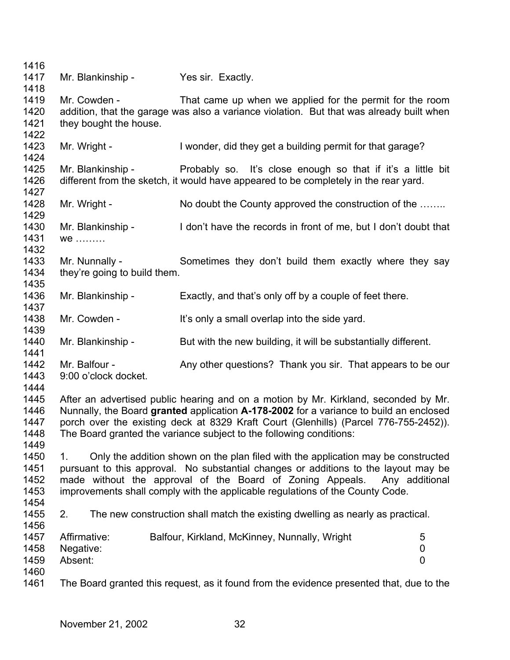1416 1417 1418 1419 1420 1421 1422 1423 1424 1425 1426 1427 1428 1429 1430 1431 1432 1433 1434 1435 1436 1437 1438 1439 1440 1441 1442 1443 1444 1445 1446 1447 1448 1449 1450 1451 1452 1453 1454 1455 1456 1457 1458 1459 1460 1461 Mr. Blankinship - Yes sir. Exactly. Mr. Cowden - That came up when we applied for the permit for the room addition, that the garage was also a variance violation. But that was already built when they bought the house. Mr. Wright - I wonder, did they get a building permit for that garage? Mr. Blankinship - Probably so. It's close enough so that if it's a little bit different from the sketch, it would have appeared to be completely in the rear yard. Mr. Wright - No doubt the County approved the construction of the …….. Mr. Blankinship - I don't have the records in front of me, but I don't doubt that we ……… Mr. Nunnally - Sometimes they don't build them exactly where they say they're going to build them. Mr. Blankinship - Exactly, and that's only off by a couple of feet there. Mr. Cowden - It's only a small overlap into the side yard. Mr. Blankinship - But with the new building, it will be substantially different. Mr. Balfour - Any other questions? Thank you sir. That appears to be our 9:00 o'clock docket. After an advertised public hearing and on a motion by Mr. Kirkland, seconded by Mr. Nunnally, the Board **granted** application **A-178-2002** for a variance to build an enclosed porch over the existing deck at 8329 Kraft Court (Glenhills) (Parcel 776-755-2452)). The Board granted the variance subject to the following conditions: 1. Only the addition shown on the plan filed with the application may be constructed pursuant to this approval. No substantial changes or additions to the layout may be made without the approval of the Board of Zoning Appeals. Any additional improvements shall comply with the applicable regulations of the County Code. 2. The new construction shall match the existing dwelling as nearly as practical. Affirmative: Balfour, Kirkland, McKinney, Nunnally, Wright 5 Negative: 0 Absent: 0 The Board granted this request, as it found from the evidence presented that, due to the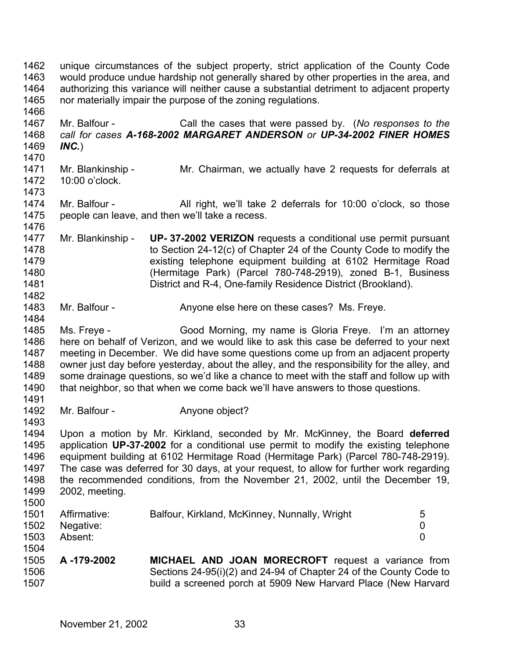1462 1463 1464 1465 1466 1467 1468 1469 1470 1471 1472 1473 1474 1475 1476 1477 1478 1479 1480 1481 1482 1483 1484 1485 1486 1487 1488 1489 1490 1491 1492 1493 1494 1495 1496 1497 1498 1499 1500 1501 1502 1503 1504 1505 1506 1507 unique circumstances of the subject property, strict application of the County Code would produce undue hardship not generally shared by other properties in the area, and authorizing this variance will neither cause a substantial detriment to adjacent property nor materially impair the purpose of the zoning regulations. Mr. Balfour - Call the cases that were passed by. (*No responses to the call for cases A-168-2002 MARGARET ANDERSON or UP-34-2002 FINER HOMES INC.*) Mr. Blankinship - Mr. Chairman, we actually have 2 requests for deferrals at 10:00 o'clock. Mr. Balfour - All right, we'll take 2 deferrals for 10:00 o'clock, so those people can leave, and then we'll take a recess. Mr. Blankinship - **UP- 37-2002 VERIZON** requests a conditional use permit pursuant to Section 24-12(c) of Chapter 24 of the County Code to modify the existing telephone equipment building at 6102 Hermitage Road (Hermitage Park) (Parcel 780-748-2919), zoned B-1, Business District and R-4, One-family Residence District (Brookland). Mr. Balfour - Anyone else here on these cases? Ms. Freye. Ms. Freye - Good Morning, my name is Gloria Freye. I'm an attorney here on behalf of Verizon, and we would like to ask this case be deferred to your next meeting in December. We did have some questions come up from an adjacent property owner just day before yesterday, about the alley, and the responsibility for the alley, and some drainage questions, so we'd like a chance to meet with the staff and follow up with that neighbor, so that when we come back we'll have answers to those questions. Mr. Balfour - **Anyone object?** Upon a motion by Mr. Kirkland, seconded by Mr. McKinney, the Board **deferred** application **UP-37-2002** for a conditional use permit to modify the existing telephone equipment building at 6102 Hermitage Road (Hermitage Park) (Parcel 780-748-2919). The case was deferred for 30 days, at your request, to allow for further work regarding the recommended conditions, from the November 21, 2002, until the December 19, 2002, meeting. Affirmative: Balfour, Kirkland, McKinney, Nunnally, Wright 5 Negative: 0 Absent: 0 **A -179-2002 MICHAEL AND JOAN MORECROFT** request a variance from Sections 24-95(i)(2) and 24-94 of Chapter 24 of the County Code to build a screened porch at 5909 New Harvard Place (New Harvard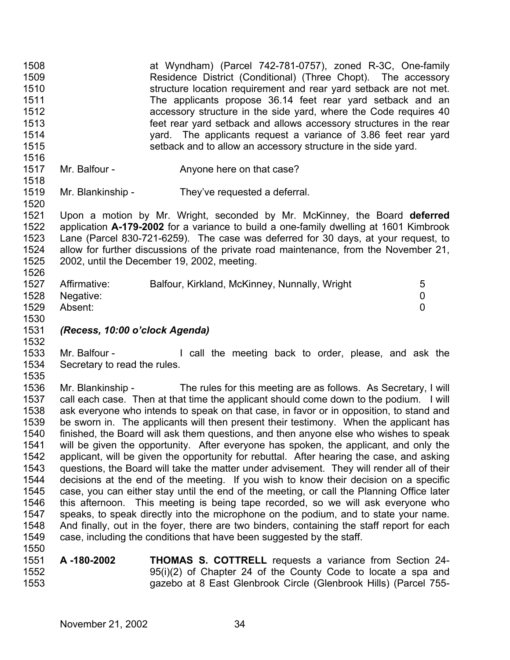1508 1509 1510 1511 1512 1513 1514 1515 1516 at Wyndham) (Parcel 742-781-0757), zoned R-3C, One-family Residence District (Conditional) (Three Chopt). The accessory structure location requirement and rear yard setback are not met. The applicants propose 36.14 feet rear yard setback and an accessory structure in the side yard, where the Code requires 40 feet rear yard setback and allows accessory structures in the rear yard. The applicants request a variance of 3.86 feet rear yard setback and to allow an accessory structure in the side yard.

- 1517 1518 Mr. Balfour - Anyone here on that case?
- 1519 Mr. Blankinship - They've requested a deferral.

1521 1522 1523 1524 1525 1526 Upon a motion by Mr. Wright, seconded by Mr. McKinney, the Board **deferred** application **A-179-2002** for a variance to build a one-family dwelling at 1601 Kimbrook Lane (Parcel 830-721-6259). The case was deferred for 30 days, at your request, to allow for further discussions of the private road maintenance, from the November 21, 2002, until the December 19, 2002, meeting.

| 1527 | Affirmative: | Balfour, Kirkland, McKinney, Nunnally, Wright | 5 |
|------|--------------|-----------------------------------------------|---|
| 1528 | Negative:    |                                               |   |
| 1529 | Absent:      |                                               |   |
| 1530 |              |                                               |   |

## 1531 *(Recess, 10:00 o'clock Agenda)*

1520

1532

1533 1534 1535 Mr. Balfour - The call the meeting back to order, please, and ask the Secretary to read the rules.

1536 1537 1538 1539 1540 1541 1542 1543 1544 1545 1546 1547 1548 1549 1550 Mr. Blankinship - The rules for this meeting are as follows. As Secretary, I will call each case. Then at that time the applicant should come down to the podium. I will ask everyone who intends to speak on that case, in favor or in opposition, to stand and be sworn in. The applicants will then present their testimony. When the applicant has finished, the Board will ask them questions, and then anyone else who wishes to speak will be given the opportunity. After everyone has spoken, the applicant, and only the applicant, will be given the opportunity for rebuttal. After hearing the case, and asking questions, the Board will take the matter under advisement. They will render all of their decisions at the end of the meeting. If you wish to know their decision on a specific case, you can either stay until the end of the meeting, or call the Planning Office later this afternoon. This meeting is being tape recorded, so we will ask everyone who speaks, to speak directly into the microphone on the podium, and to state your name. And finally, out in the foyer, there are two binders, containing the staff report for each case, including the conditions that have been suggested by the staff.

1551 1552 1553 **A -180-2002 THOMAS S. COTTRELL** requests a variance from Section 24- 95(i)(2) of Chapter 24 of the County Code to locate a spa and gazebo at 8 East Glenbrook Circle (Glenbrook Hills) (Parcel 755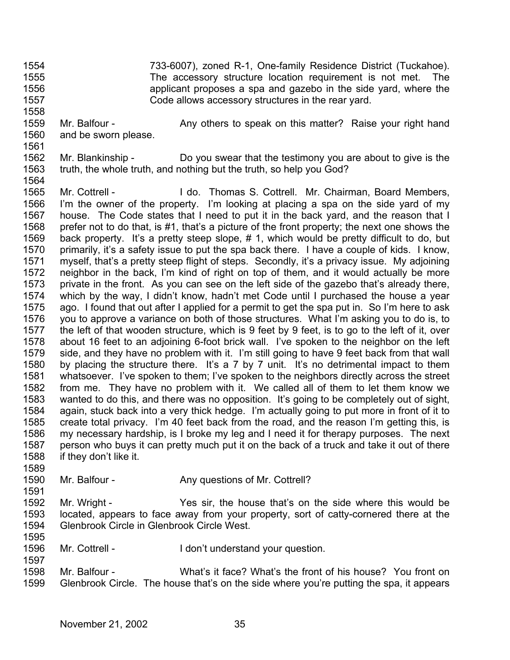1554 1555 1556 1557 733-6007), zoned R-1, One-family Residence District (Tuckahoe). The accessory structure location requirement is not met. The applicant proposes a spa and gazebo in the side yard, where the Code allows accessory structures in the rear yard.

- 1559 1560 Mr. Balfour - Any others to speak on this matter? Raise your right hand and be sworn please.
- 1561

1591

1597

1558

1562 1563 1564 Mr. Blankinship - Do you swear that the testimony you are about to give is the truth, the whole truth, and nothing but the truth, so help you God?

1565 1566 1567 1568 1569 1570 1571 1572 1573 1574 1575 1576 1577 1578 1579 1580 1581 1582 1583 1584 1585 1586 1587 1588 1589 Mr. Cottrell - I do. Thomas S. Cottrell. Mr. Chairman, Board Members, I'm the owner of the property. I'm looking at placing a spa on the side yard of my house. The Code states that I need to put it in the back yard, and the reason that I prefer not to do that, is #1, that's a picture of the front property; the next one shows the back property. It's a pretty steep slope, # 1, which would be pretty difficult to do, but primarily, it's a safety issue to put the spa back there. I have a couple of kids. I know, myself, that's a pretty steep flight of steps. Secondly, it's a privacy issue. My adjoining neighbor in the back, I'm kind of right on top of them, and it would actually be more private in the front. As you can see on the left side of the gazebo that's already there, which by the way, I didn't know, hadn't met Code until I purchased the house a year ago. I found that out after I applied for a permit to get the spa put in. So I'm here to ask you to approve a variance on both of those structures. What I'm asking you to do is, to the left of that wooden structure, which is 9 feet by 9 feet, is to go to the left of it, over about 16 feet to an adjoining 6-foot brick wall. I've spoken to the neighbor on the left side, and they have no problem with it. I'm still going to have 9 feet back from that wall by placing the structure there. It's a 7 by 7 unit. It's no detrimental impact to them whatsoever. I've spoken to them; I've spoken to the neighbors directly across the street from me. They have no problem with it. We called all of them to let them know we wanted to do this, and there was no opposition. It's going to be completely out of sight, again, stuck back into a very thick hedge. I'm actually going to put more in front of it to create total privacy. I'm 40 feet back from the road, and the reason I'm getting this, is my necessary hardship, is I broke my leg and I need it for therapy purposes. The next person who buys it can pretty much put it on the back of a truck and take it out of there if they don't like it.

- 1590 Mr. Balfour - Any questions of Mr. Cottrell?
- 1592 1593 1594 1595 Mr. Wright - Yes sir, the house that's on the side where this would be located, appears to face away from your property, sort of catty-cornered there at the Glenbrook Circle in Glenbrook Circle West.
- 1596 Mr. Cottrell - The I don't understand your question.
- 1598 1599 Mr. Balfour - What's it face? What's the front of his house? You front on Glenbrook Circle. The house that's on the side where you're putting the spa, it appears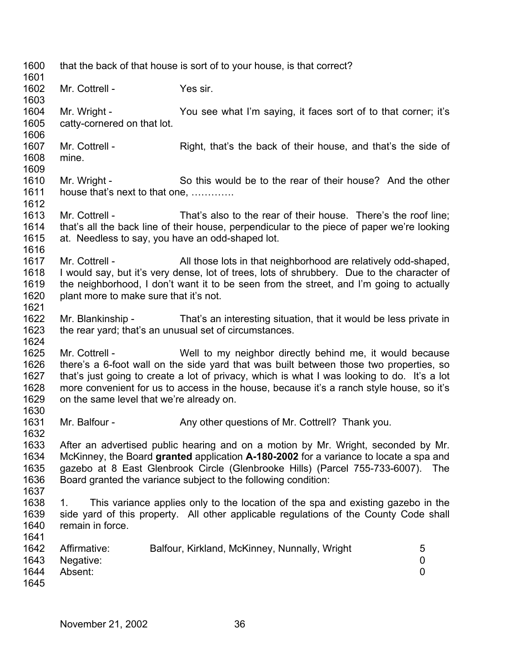1600 1601 1602 1603 1604 1605 1606 1607 1608 1609 1610 1611 1612 1613 1614 1615 1616 1617 1618 1619 1620 1621 1622 1623 1624 1625 1626 1627 1628 1629 1630 1631 1632 1633 1634 1635 1636 1637 1638 1639 1640 1641 1642 1643 1644 1645 that the back of that house is sort of to your house, is that correct? Mr. Cottrell - Yes sir. Mr. Wright - You see what I'm saying, it faces sort of to that corner; it's catty-cornered on that lot. Mr. Cottrell - Right, that's the back of their house, and that's the side of mine. Mr. Wright - So this would be to the rear of their house? And the other house that's next to that one, …………. Mr. Cottrell - That's also to the rear of their house. There's the roof line; that's all the back line of their house, perpendicular to the piece of paper we're looking at. Needless to say, you have an odd-shaped lot. Mr. Cottrell - All those lots in that neighborhood are relatively odd-shaped, I would say, but it's very dense, lot of trees, lots of shrubbery. Due to the character of the neighborhood, I don't want it to be seen from the street, and I'm going to actually plant more to make sure that it's not. Mr. Blankinship - That's an interesting situation, that it would be less private in the rear yard; that's an unusual set of circumstances. Mr. Cottrell - Well to my neighbor directly behind me, it would because there's a 6-foot wall on the side yard that was built between those two properties, so that's just going to create a lot of privacy, which is what I was looking to do. It's a lot more convenient for us to access in the house, because it's a ranch style house, so it's on the same level that we're already on. Mr. Balfour - Any other questions of Mr. Cottrell? Thank you. After an advertised public hearing and on a motion by Mr. Wright, seconded by Mr. McKinney, the Board **granted** application **A-180-2002** for a variance to locate a spa and gazebo at 8 East Glenbrook Circle (Glenbrooke Hills) (Parcel 755-733-6007). The Board granted the variance subject to the following condition: 1. This variance applies only to the location of the spa and existing gazebo in the side yard of this property. All other applicable regulations of the County Code shall remain in force. Affirmative: Balfour, Kirkland, McKinney, Nunnally, Wright 5 Negative: 0 Absent: 0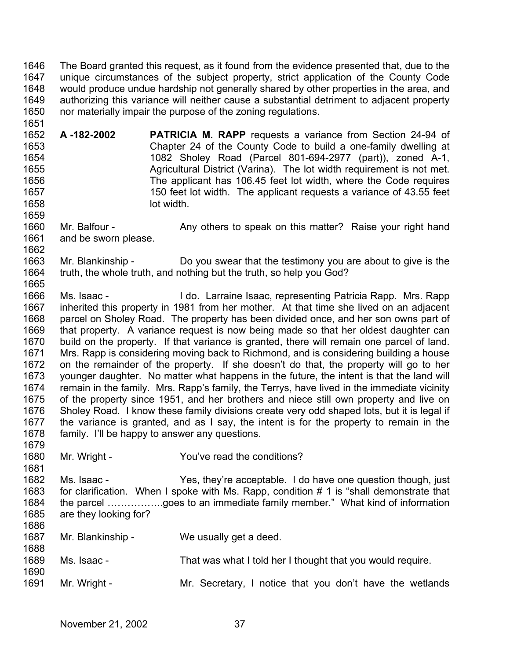1646 1647 1648 1649 1650 The Board granted this request, as it found from the evidence presented that, due to the unique circumstances of the subject property, strict application of the County Code would produce undue hardship not generally shared by other properties in the area, and authorizing this variance will neither cause a substantial detriment to adjacent property nor materially impair the purpose of the zoning regulations.

- 1652 1653 1654 1655 1656 1657 1658 1659 **A -182-2002 PATRICIA M. RAPP** requests a variance from Section 24-94 of Chapter 24 of the County Code to build a one-family dwelling at 1082 Sholey Road (Parcel 801-694-2977 (part)), zoned A-1, Agricultural District (Varina). The lot width requirement is not met. The applicant has 106.45 feet lot width, where the Code requires 150 feet lot width. The applicant requests a variance of 43.55 feet lot width.
- 1660 1661 Mr. Balfour - Any others to speak on this matter? Raise your right hand and be sworn please.
- 1663 1664 1665 Mr. Blankinship - Do you swear that the testimony you are about to give is the truth, the whole truth, and nothing but the truth, so help you God?
- 1666 1667 1668 1669 1670 1671 1672 1673 1674 1675 1676 1677 1678 1679 Ms. Isaac - I do. Larraine Isaac, representing Patricia Rapp. Mrs. Rapp inherited this property in 1981 from her mother. At that time she lived on an adjacent parcel on Sholey Road. The property has been divided once, and her son owns part of that property. A variance request is now being made so that her oldest daughter can build on the property. If that variance is granted, there will remain one parcel of land. Mrs. Rapp is considering moving back to Richmond, and is considering building a house on the remainder of the property. If she doesn't do that, the property will go to her younger daughter. No matter what happens in the future, the intent is that the land will remain in the family. Mrs. Rapp's family, the Terrys, have lived in the immediate vicinity of the property since 1951, and her brothers and niece still own property and live on Sholey Road. I know these family divisions create very odd shaped lots, but it is legal if the variance is granted, and as I say, the intent is for the property to remain in the family. I'll be happy to answer any questions.
- 1680 Mr. Wright - The You've read the conditions?
- 1682 1683 1684 1685 1686 Ms. Isaac - The Yes, they're acceptable. I do have one question though, just for clarification. When I spoke with Ms. Rapp, condition # 1 is "shall demonstrate that the parcel ……………..goes to an immediate family member." What kind of information are they looking for?
- 1687 Mr. Blankinship - We usually get a deed.
- 1689 Ms. Isaac - That was what I told her I thought that you would require.
- 1691 Mr. Wright - Mr. Secretary, I notice that you don't have the wetlands

1651

1662

1681

1688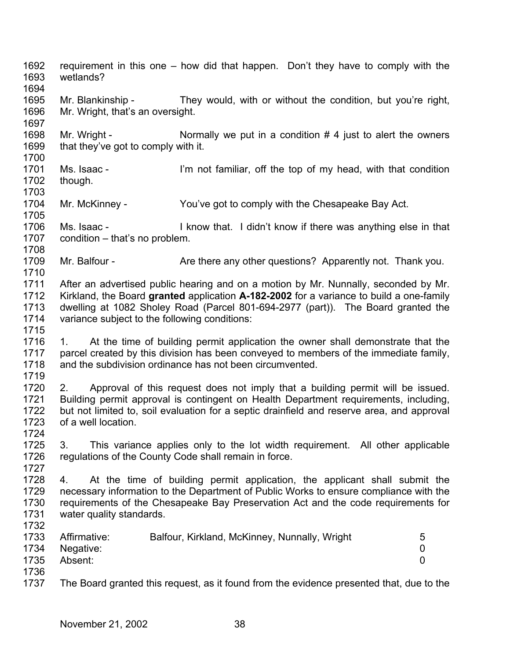1692 1693 1694 1695 1696 1697 1698 1699 1700 1701 1702 1703 1704 1705 1706 1707 1708 1709 1710 1711 1712 1713 1714 1715 1716 1717 1718 1719 1720 1721 1722 1723 1724 1725 1726 1727 1728 1729 1730 1731 1732 1733 1734 1735 1736 1737 requirement in this one – how did that happen. Don't they have to comply with the wetlands? Mr. Blankinship - They would, with or without the condition, but you're right, Mr. Wright, that's an oversight. Mr. Wright -  $\blacksquare$  Normally we put in a condition  $\#$  4 just to alert the owners that they've got to comply with it. Ms. Isaac - I'm not familiar, off the top of my head, with that condition though. Mr. McKinney - You've got to comply with the Chesapeake Bay Act. Ms. Isaac - I know that. I didn't know if there was anything else in that condition – that's no problem. Mr. Balfour - Are there any other questions? Apparently not. Thank you. After an advertised public hearing and on a motion by Mr. Nunnally, seconded by Mr. Kirkland, the Board **granted** application **A-182-2002** for a variance to build a one-family dwelling at 1082 Sholey Road (Parcel 801-694-2977 (part)). The Board granted the variance subject to the following conditions: 1. At the time of building permit application the owner shall demonstrate that the parcel created by this division has been conveyed to members of the immediate family, and the subdivision ordinance has not been circumvented. 2. Approval of this request does not imply that a building permit will be issued. Building permit approval is contingent on Health Department requirements, including, but not limited to, soil evaluation for a septic drainfield and reserve area, and approval of a well location. 3. This variance applies only to the lot width requirement. All other applicable regulations of the County Code shall remain in force. 4. At the time of building permit application, the applicant shall submit the necessary information to the Department of Public Works to ensure compliance with the requirements of the Chesapeake Bay Preservation Act and the code requirements for water quality standards. Affirmative: Balfour, Kirkland, McKinney, Nunnally, Wright 5 Negative: 0 Absent: 0 The Board granted this request, as it found from the evidence presented that, due to the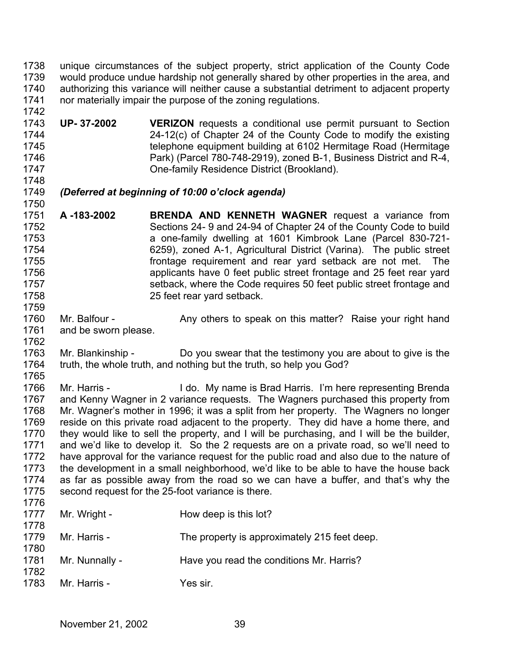1738 1739 1740 1741 1742 unique circumstances of the subject property, strict application of the County Code would produce undue hardship not generally shared by other properties in the area, and authorizing this variance will neither cause a substantial detriment to adjacent property nor materially impair the purpose of the zoning regulations.

- 1743 1744 1745 1746 1747 **UP- 37-2002 VERIZON** requests a conditional use permit pursuant to Section 24-12(c) of Chapter 24 of the County Code to modify the existing telephone equipment building at 6102 Hermitage Road (Hermitage Park) (Parcel 780-748-2919), zoned B-1, Business District and R-4, One-family Residence District (Brookland).
- 1748

1750

1759

1762

## 1749 *(Deferred at beginning of 10:00 o'clock agenda)*

- 1751 1752 1753 1754 1755 1756 1757 1758 **A -183-2002 BRENDA AND KENNETH WAGNER** request a variance from Sections 24- 9 and 24-94 of Chapter 24 of the County Code to build a one-family dwelling at 1601 Kimbrook Lane (Parcel 830-721- 6259), zoned A-1, Agricultural District (Varina). The public street frontage requirement and rear yard setback are not met. The applicants have 0 feet public street frontage and 25 feet rear yard setback, where the Code requires 50 feet public street frontage and 25 feet rear yard setback.
- 1760 1761 Mr. Balfour - Any others to speak on this matter? Raise your right hand and be sworn please.
- 1763 1764 1765 Mr. Blankinship - Do you swear that the testimony you are about to give is the truth, the whole truth, and nothing but the truth, so help you God?
- 1766 1767 1768 1769 1770 1771 1772 1773 1774 1775 Mr. Harris - I do. My name is Brad Harris. I'm here representing Brenda and Kenny Wagner in 2 variance requests. The Wagners purchased this property from Mr. Wagner's mother in 1996; it was a split from her property. The Wagners no longer reside on this private road adjacent to the property. They did have a home there, and they would like to sell the property, and I will be purchasing, and I will be the builder, and we'd like to develop it. So the 2 requests are on a private road, so we'll need to have approval for the variance request for the public road and also due to the nature of the development in a small neighborhood, we'd like to be able to have the house back as far as possible away from the road so we can have a buffer, and that's why the second request for the 25-foot variance is there.
- 1776  $1^{\circ}$

| 1777<br>1778 | Mr. Wright -   | How deep is this lot?                        |
|--------------|----------------|----------------------------------------------|
| 1779<br>1780 | Mr. Harris -   | The property is approximately 215 feet deep. |
| 1781<br>1782 | Mr. Nunnally - | Have you read the conditions Mr. Harris?     |
| 1783         | Mr. Harris -   | Yes sir.                                     |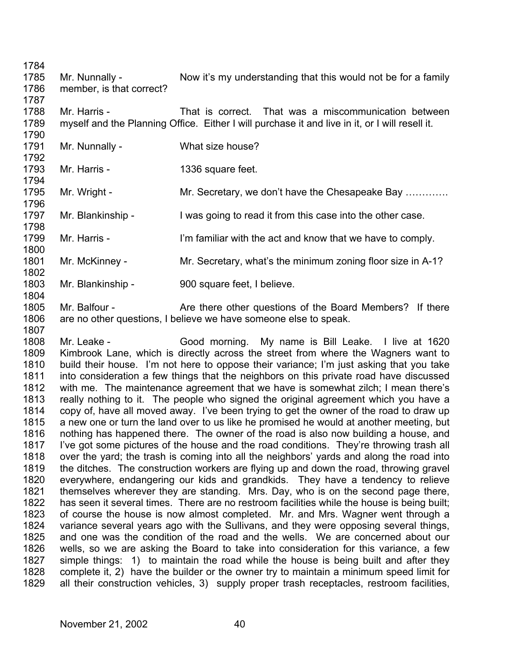1784 1785 1786 1787 1788 1789 1790 1791 1792 1793 1794 1795 1796 1797 1798 1799 1800 1801 1802 1803 Mr. Nunnally - Now it's my understanding that this would not be for a family member, is that correct? Mr. Harris - That is correct. That was a miscommunication between myself and the Planning Office. Either I will purchase it and live in it, or I will resell it. Mr. Nunnally - What size house? Mr. Harris - 1336 square feet. Mr. Wright - Mr. Secretary, we don't have the Chesapeake Bay ............. Mr. Blankinship - I was going to read it from this case into the other case. Mr. Harris - I'm familiar with the act and know that we have to comply. Mr. McKinney - Mr. Secretary, what's the minimum zoning floor size in A-1? Mr. Blankinship - 900 square feet, I believe.

1805 1806 1807 Mr. Balfour - The Are there other questions of the Board Members? If there are no other questions, I believe we have someone else to speak.

1808 1809 1810 1811 1812 1813 1814 1815 1816 1817 1818 1819 1820 1821 1822 1823 1824 1825 1826 1827 1828 1829 Mr. Leake - Good morning. My name is Bill Leake. I live at 1620 Kimbrook Lane, which is directly across the street from where the Wagners want to build their house. I'm not here to oppose their variance; I'm just asking that you take into consideration a few things that the neighbors on this private road have discussed with me. The maintenance agreement that we have is somewhat zilch; I mean there's really nothing to it. The people who signed the original agreement which you have a copy of, have all moved away. I've been trying to get the owner of the road to draw up a new one or turn the land over to us like he promised he would at another meeting, but nothing has happened there. The owner of the road is also now building a house, and I've got some pictures of the house and the road conditions. They're throwing trash all over the yard; the trash is coming into all the neighbors' yards and along the road into the ditches. The construction workers are flying up and down the road, throwing gravel everywhere, endangering our kids and grandkids. They have a tendency to relieve themselves wherever they are standing. Mrs. Day, who is on the second page there, has seen it several times. There are no restroom facilities while the house is being built; of course the house is now almost completed. Mr. and Mrs. Wagner went through a variance several years ago with the Sullivans, and they were opposing several things, and one was the condition of the road and the wells. We are concerned about our wells, so we are asking the Board to take into consideration for this variance, a few simple things: 1) to maintain the road while the house is being built and after they complete it, 2) have the builder or the owner try to maintain a minimum speed limit for all their construction vehicles, 3) supply proper trash receptacles, restroom facilities,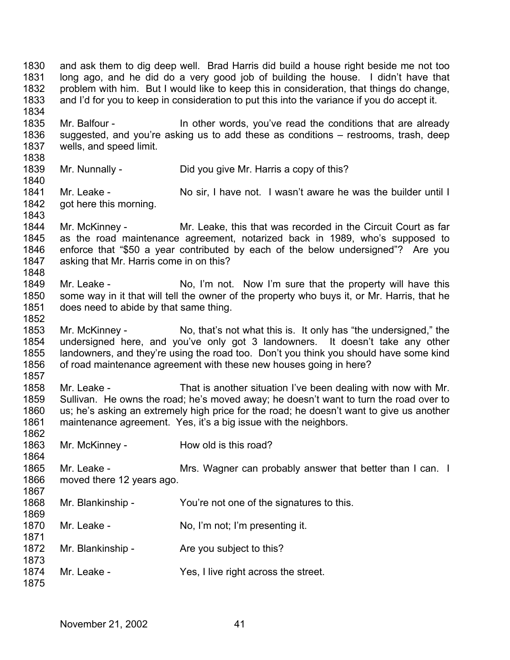1830 1831 1832 1833 1834 1835 1836 1837 1838 1839 1840 1841 1842 1843 1844 1845 1846 1847 1848 1849 1850 1851 1852 1853 1854 1855 1856 1857 1858 1859 1860 1861 1862 1863 1864 1865 1866 1867 1868 1869 1870 1871 1872 1873 1874 1875 and ask them to dig deep well. Brad Harris did build a house right beside me not too long ago, and he did do a very good job of building the house. I didn't have that problem with him. But I would like to keep this in consideration, that things do change, and I'd for you to keep in consideration to put this into the variance if you do accept it. Mr. Balfour - In other words, you've read the conditions that are already suggested, and you're asking us to add these as conditions – restrooms, trash, deep wells, and speed limit. Mr. Nunnally - Did you give Mr. Harris a copy of this? Mr. Leake - No sir, I have not. I wasn't aware he was the builder until I got here this morning. Mr. McKinney - Mr. Leake, this that was recorded in the Circuit Court as far as the road maintenance agreement, notarized back in 1989, who's supposed to enforce that "\$50 a year contributed by each of the below undersigned"? Are you asking that Mr. Harris come in on this? Mr. Leake - No, I'm not. Now I'm sure that the property will have this some way in it that will tell the owner of the property who buys it, or Mr. Harris, that he does need to abide by that same thing. Mr. McKinney - No, that's not what this is. It only has "the undersigned," the undersigned here, and you've only got 3 landowners. It doesn't take any other landowners, and they're using the road too. Don't you think you should have some kind of road maintenance agreement with these new houses going in here? Mr. Leake - That is another situation I've been dealing with now with Mr. Sullivan. He owns the road; he's moved away; he doesn't want to turn the road over to us; he's asking an extremely high price for the road; he doesn't want to give us another maintenance agreement. Yes, it's a big issue with the neighbors. Mr. McKinney - How old is this road? Mr. Leake - The Mrs. Wagner can probably answer that better than I can. I moved there 12 years ago. Mr. Blankinship - You're not one of the signatures to this. Mr. Leake - No, I'm not; I'm presenting it. Mr. Blankinship - The you subject to this? Mr. Leake - The Yes, I live right across the street.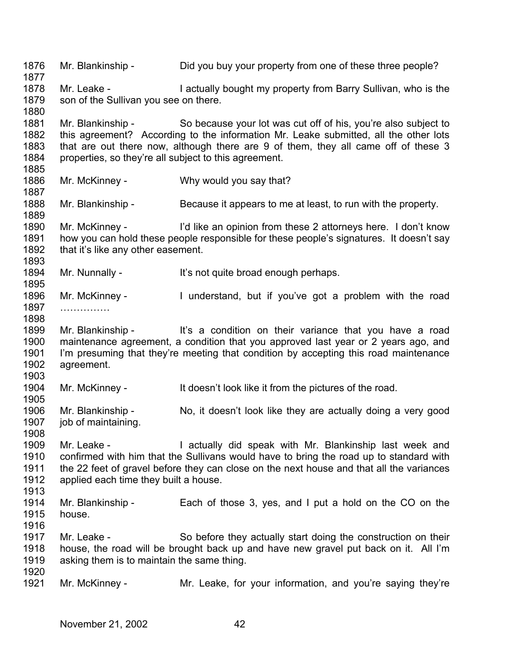1876 1877 1878 1879 1880 1881 1882 1883 1884 1885 1886 1887 1888 1889 1890 1891 1892 1893 1894 1895 1896 1897 1898 1899 1900 1901 1902 1903 1904 1905 1906 1907 1908 1909 1910 1911 1912 1913 1914 1915 1916 1917 1918 1919 1920 1921 Mr. Blankinship - Did you buy your property from one of these three people? Mr. Leake - I actually bought my property from Barry Sullivan, who is the son of the Sullivan you see on there. Mr. Blankinship - So because your lot was cut off of his, you're also subject to this agreement? According to the information Mr. Leake submitted, all the other lots that are out there now, although there are 9 of them, they all came off of these 3 properties, so they're all subject to this agreement. Mr. McKinney - Why would you say that? Mr. Blankinship - Because it appears to me at least, to run with the property. Mr. McKinney - I'd like an opinion from these 2 attorneys here. I don't know how you can hold these people responsible for these people's signatures. It doesn't say that it's like any other easement. Mr. Nunnally - It's not quite broad enough perhaps. Mr. McKinney - I understand, but if you've got a problem with the road ……………… Mr. Blankinship - It's a condition on their variance that you have a road maintenance agreement, a condition that you approved last year or 2 years ago, and I'm presuming that they're meeting that condition by accepting this road maintenance agreement. Mr. McKinney - It doesn't look like it from the pictures of the road. Mr. Blankinship - No, it doesn't look like they are actually doing a very good job of maintaining. Mr. Leake - The actually did speak with Mr. Blankinship last week and confirmed with him that the Sullivans would have to bring the road up to standard with the 22 feet of gravel before they can close on the next house and that all the variances applied each time they built a house. Mr. Blankinship - Each of those 3, yes, and I put a hold on the CO on the house. Mr. Leake - So before they actually start doing the construction on their house, the road will be brought back up and have new gravel put back on it. All I'm asking them is to maintain the same thing. Mr. McKinney - The Mr. Leake, for your information, and you're saying they're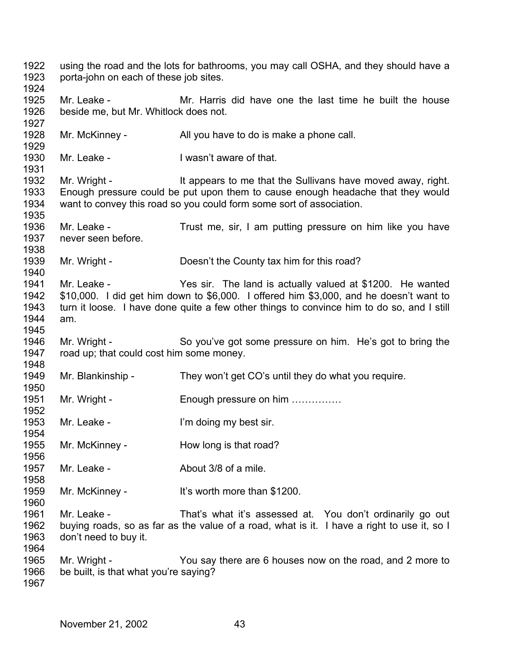using the road and the lots for bathrooms, you may call OSHA, and they should have a porta-john on each of these job sites. Mr. Leake - Mr. Harris did have one the last time he built the house beside me, but Mr. Whitlock does not. Mr. McKinney - All you have to do is make a phone call. Mr. Leake - I wasn't aware of that. Mr. Wright - It appears to me that the Sullivans have moved away, right. Enough pressure could be put upon them to cause enough headache that they would want to convey this road so you could form some sort of association. Mr. Leake - Trust me, sir, I am putting pressure on him like you have never seen before. Mr. Wright - Doesn't the County tax him for this road? Mr. Leake - The sir. The land is actually valued at \$1200. He wanted \$10,000. I did get him down to \$6,000. I offered him \$3,000, and he doesn't want to turn it loose. I have done quite a few other things to convince him to do so, and I still am. Mr. Wright - So you've got some pressure on him. He's got to bring the road up; that could cost him some money. Mr. Blankinship - They won't get CO's until they do what you require. Mr. Wright - Enough pressure on him …………… Mr. Leake - I'm doing my best sir. Mr. McKinney - How long is that road? Mr. Leake - **About 3/8 of a mile.** Mr. McKinney - It's worth more than \$1200. Mr. Leake - That's what it's assessed at. You don't ordinarily go out buying roads, so as far as the value of a road, what is it. I have a right to use it, so I don't need to buy it. Mr. Wright - You say there are 6 houses now on the road, and 2 more to be built, is that what you're saying?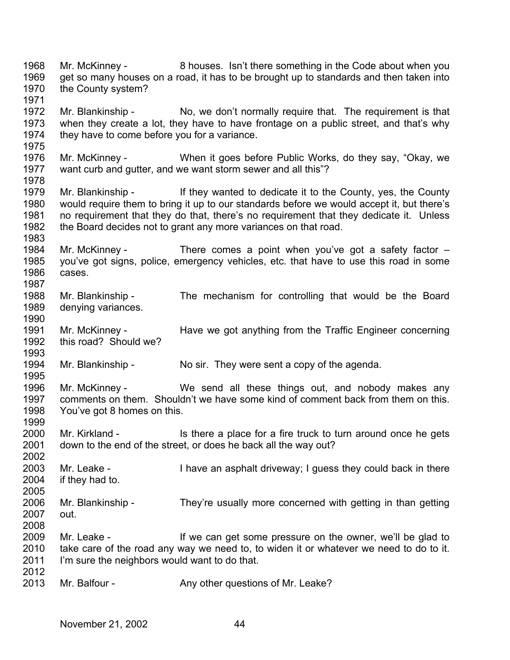1968 1969 1970 1971 1972 1973 1974 1975 1976 1977 1978 1979 1980 1981 1982 1983 1984 1985 1986 1987 1988 1989 1990 1991 1992 1993 1994 1995 1996 1997 1998 1999 2000 2001 2002 2003 2004 2005 2006 2007 2008 2009 2010 2011 2012 2013 Mr. McKinney - 8 houses. Isn't there something in the Code about when you get so many houses on a road, it has to be brought up to standards and then taken into the County system? Mr. Blankinship - No, we don't normally require that. The requirement is that when they create a lot, they have to have frontage on a public street, and that's why they have to come before you for a variance. Mr. McKinney - When it goes before Public Works, do they say, "Okay, we want curb and gutter, and we want storm sewer and all this"? Mr. Blankinship - If they wanted to dedicate it to the County, yes, the County would require them to bring it up to our standards before we would accept it, but there's no requirement that they do that, there's no requirement that they dedicate it. Unless the Board decides not to grant any more variances on that road. Mr. McKinney - There comes a point when you've got a safety factor – you've got signs, police, emergency vehicles, etc. that have to use this road in some cases. Mr. Blankinship - The mechanism for controlling that would be the Board denying variances. Mr. McKinney - Have we got anything from the Traffic Engineer concerning this road? Should we? Mr. Blankinship - No sir. They were sent a copy of the agenda. Mr. McKinney - We send all these things out, and nobody makes any comments on them. Shouldn't we have some kind of comment back from them on this. You've got 8 homes on this. Mr. Kirkland - Is there a place for a fire truck to turn around once he gets down to the end of the street, or does he back all the way out? Mr. Leake - **I** have an asphalt driveway; I guess they could back in there if they had to. Mr. Blankinship - They're usually more concerned with getting in than getting out. Mr. Leake - If we can get some pressure on the owner, we'll be glad to take care of the road any way we need to, to widen it or whatever we need to do to it. I'm sure the neighbors would want to do that. Mr. Balfour - Any other questions of Mr. Leake?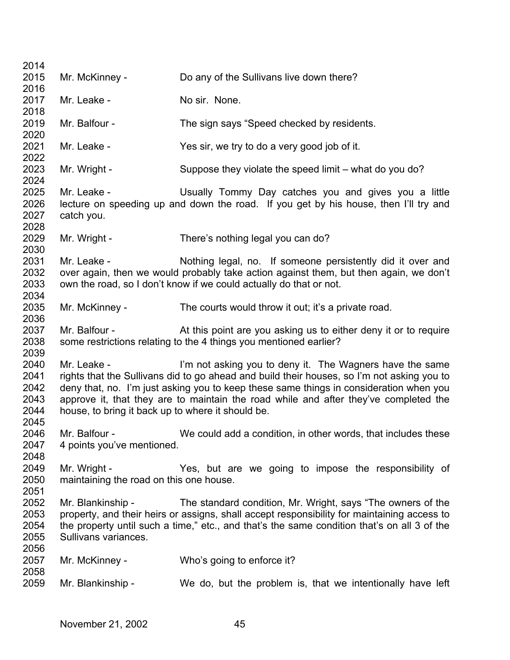| 2014<br>2015<br>2016                         | Mr. McKinney -                                                   | Do any of the Sullivans live down there?                                                                                                                                                                                                                                                                                                 |
|----------------------------------------------|------------------------------------------------------------------|------------------------------------------------------------------------------------------------------------------------------------------------------------------------------------------------------------------------------------------------------------------------------------------------------------------------------------------|
| 2017<br>2018                                 | Mr. Leake -                                                      | No sir. None.                                                                                                                                                                                                                                                                                                                            |
| 2019<br>2020                                 | Mr. Balfour -                                                    | The sign says "Speed checked by residents.                                                                                                                                                                                                                                                                                               |
| 2021<br>2022                                 | Mr. Leake -                                                      | Yes sir, we try to do a very good job of it.                                                                                                                                                                                                                                                                                             |
| 2023<br>2024                                 | Mr. Wright -                                                     | Suppose they violate the speed limit – what do you do?                                                                                                                                                                                                                                                                                   |
| 2025<br>2026<br>2027<br>2028                 | Mr. Leake -<br>catch you.                                        | Usually Tommy Day catches you and gives you a little<br>lecture on speeding up and down the road. If you get by his house, then I'll try and                                                                                                                                                                                             |
| 2029<br>2030                                 | Mr. Wright -                                                     | There's nothing legal you can do?                                                                                                                                                                                                                                                                                                        |
| 2031<br>2032<br>2033<br>2034                 | Mr. Leake -                                                      | Nothing legal, no. If someone persistently did it over and<br>over again, then we would probably take action against them, but then again, we don't<br>own the road, so I don't know if we could actually do that or not.                                                                                                                |
| 2035<br>2036                                 | Mr. McKinney -                                                   | The courts would throw it out; it's a private road.                                                                                                                                                                                                                                                                                      |
| 2037<br>2038<br>2039                         | Mr. Balfour -                                                    | At this point are you asking us to either deny it or to require<br>some restrictions relating to the 4 things you mentioned earlier?                                                                                                                                                                                                     |
| 2040<br>2041<br>2042<br>2043<br>2044<br>2045 | Mr. Leake -<br>house, to bring it back up to where it should be. | I'm not asking you to deny it. The Wagners have the same<br>rights that the Sullivans did to go ahead and build their houses, so I'm not asking you to<br>deny that, no. I'm just asking you to keep these same things in consideration when you<br>approve it, that they are to maintain the road while and after they've completed the |
| 2046<br>2047<br>2048                         | Mr. Balfour -<br>4 points you've mentioned.                      | We could add a condition, in other words, that includes these                                                                                                                                                                                                                                                                            |
| 2049<br>2050<br>2051                         | Mr. Wright -<br>maintaining the road on this one house.          | Yes, but are we going to impose the responsibility of                                                                                                                                                                                                                                                                                    |
| 2052<br>2053<br>2054<br>2055<br>2056         | Mr. Blankinship -<br>Sullivans variances.                        | The standard condition, Mr. Wright, says "The owners of the<br>property, and their heirs or assigns, shall accept responsibility for maintaining access to<br>the property until such a time," etc., and that's the same condition that's on all 3 of the                                                                                |
| 2057<br>2058                                 | Mr. McKinney -                                                   | Who's going to enforce it?                                                                                                                                                                                                                                                                                                               |
| 2059                                         | Mr. Blankinship -                                                | We do, but the problem is, that we intentionally have left                                                                                                                                                                                                                                                                               |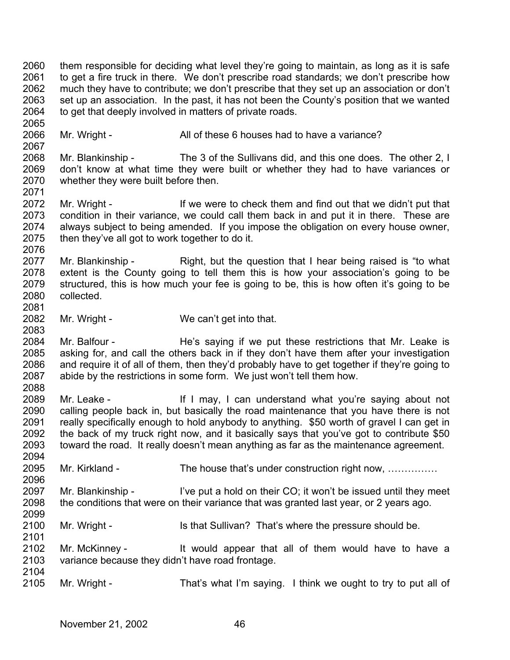2060 2061 2062 2063 2064 them responsible for deciding what level they're going to maintain, as long as it is safe to get a fire truck in there. We don't prescribe road standards; we don't prescribe how much they have to contribute; we don't prescribe that they set up an association or don't set up an association. In the past, it has not been the County's position that we wanted to get that deeply involved in matters of private roads.

2066 Mr. Wright - All of these 6 houses had to have a variance?

2068 2069 2070 2071 Mr. Blankinship - The 3 of the Sullivans did, and this one does. The other 2, I don't know at what time they were built or whether they had to have variances or whether they were built before then.

- 2072 2073 2074 2075 Mr. Wright - If we were to check them and find out that we didn't put that condition in their variance, we could call them back in and put it in there. These are always subject to being amended. If you impose the obligation on every house owner, then they've all got to work together to do it.
- 2077 2078 2079 2080 Mr. Blankinship - Right, but the question that I hear being raised is "to what extent is the County going to tell them this is how your association's going to be structured, this is how much your fee is going to be, this is how often it's going to be collected.
- 2082 Mr. Wright - We can't get into that.

2065

2067

2076

2081

2083

2096

2101

2084 2085 2086 2087 2088 Mr. Balfour - The's saying if we put these restrictions that Mr. Leake is asking for, and call the others back in if they don't have them after your investigation and require it of all of them, then they'd probably have to get together if they're going to abide by the restrictions in some form. We just won't tell them how.

2089 2090 2091 2092 2093 2094 Mr. Leake - The Mr I may, I can understand what you're saying about not calling people back in, but basically the road maintenance that you have there is not really specifically enough to hold anybody to anything. \$50 worth of gravel I can get in the back of my truck right now, and it basically says that you've got to contribute \$50 toward the road. It really doesn't mean anything as far as the maintenance agreement.

2095 Mr. Kirkland - The house that's under construction right now, ...............

2097 2098 2099 Mr. Blankinship - I've put a hold on their CO; it won't be issued until they meet the conditions that were on their variance that was granted last year, or 2 years ago.

2100 Mr. Wright - Is that Sullivan? That's where the pressure should be.

2102 2103 2104 Mr. McKinney - It would appear that all of them would have to have a variance because they didn't have road frontage.

2105 Mr. Wright - That's what I'm saying. I think we ought to try to put all of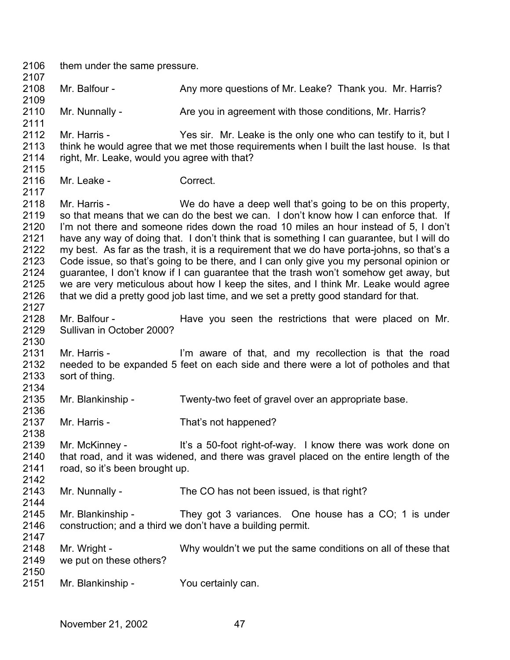2106 2107 2108 2109 2110 2111 2112 2113 2114 2115 2116 2117 2118 2119 2120 2121 2122 2123 2124 2125 2126 2127 2128 2129 2130 2131 2132 2133 2134 2135 2136 2137 2138 2139 2140 2141 2142 2143 2144 2145 2146 2147 2148 2149 2150 2151 them under the same pressure. Mr. Balfour - Any more questions of Mr. Leake? Thank you. Mr. Harris? Mr. Nunnally - Are you in agreement with those conditions, Mr. Harris? Mr. Harris - Yes sir. Mr. Leake is the only one who can testify to it, but I think he would agree that we met those requirements when I built the last house. Is that right, Mr. Leake, would you agree with that? Mr. Leake - Correct. Mr. Harris - We do have a deep well that's going to be on this property, so that means that we can do the best we can. I don't know how I can enforce that. If I'm not there and someone rides down the road 10 miles an hour instead of 5, I don't have any way of doing that. I don't think that is something I can guarantee, but I will do my best. As far as the trash, it is a requirement that we do have porta-johns, so that's a Code issue, so that's going to be there, and I can only give you my personal opinion or guarantee, I don't know if I can guarantee that the trash won't somehow get away, but we are very meticulous about how I keep the sites, and I think Mr. Leake would agree that we did a pretty good job last time, and we set a pretty good standard for that. Mr. Balfour - The Have you seen the restrictions that were placed on Mr. Sullivan in October 2000? Mr. Harris - I'm aware of that, and my recollection is that the road needed to be expanded 5 feet on each side and there were a lot of potholes and that sort of thing. Mr. Blankinship - Twenty-two feet of gravel over an appropriate base. Mr. Harris - That's not happened? Mr. McKinney - It's a 50-foot right-of-way. I know there was work done on that road, and it was widened, and there was gravel placed on the entire length of the road, so it's been brought up. Mr. Nunnally - The CO has not been issued, is that right? Mr. Blankinship - They got 3 variances. One house has a CO; 1 is under construction; and a third we don't have a building permit. Mr. Wright - Why wouldn't we put the same conditions on all of these that we put on these others? Mr. Blankinship - You certainly can.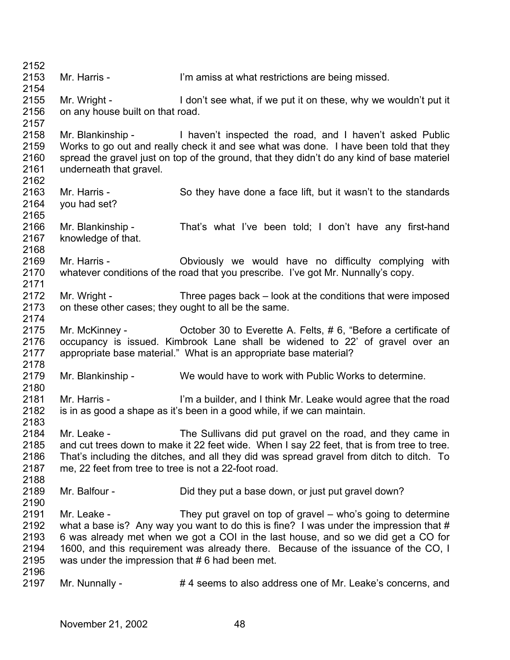2152 2153 2154 2155 2156 2157 2158 2159 2160 2161 2162 2163 2164 2165 2166 2167 2168 2169 2170 2171 2172 2173 2174 2175 2176 2177 2178 2179 2180 2181 2182 2183 2184 2185 2186 2187 2188 2189 2190 2191 2192 2193 2194 2195 2196 2197 Mr. Harris - **I'm amiss at what restrictions are being missed.** Mr. Wright - I don't see what, if we put it on these, why we wouldn't put it on any house built on that road. Mr. Blankinship - I haven't inspected the road, and I haven't asked Public Works to go out and really check it and see what was done. I have been told that they spread the gravel just on top of the ground, that they didn't do any kind of base materiel underneath that gravel. Mr. Harris - So they have done a face lift, but it wasn't to the standards you had set? Mr. Blankinship - That's what I've been told; I don't have any first-hand knowledge of that. Mr. Harris - Choiously we would have no difficulty complying with whatever conditions of the road that you prescribe. I've got Mr. Nunnally's copy. Mr. Wright - Three pages back – look at the conditions that were imposed on these other cases; they ought to all be the same. Mr. McKinney - Cotober 30 to Everette A. Felts, #6, "Before a certificate of occupancy is issued. Kimbrook Lane shall be widened to 22' of gravel over an appropriate base material." What is an appropriate base material? Mr. Blankinship - We would have to work with Public Works to determine. Mr. Harris - I'm a builder, and I think Mr. Leake would agree that the road is in as good a shape as it's been in a good while, if we can maintain. Mr. Leake - The Sullivans did put gravel on the road, and they came in and cut trees down to make it 22 feet wide. When I say 22 feet, that is from tree to tree. That's including the ditches, and all they did was spread gravel from ditch to ditch. To me, 22 feet from tree to tree is not a 22-foot road. Mr. Balfour - Did they put a base down, or just put gravel down? Mr. Leake - They put gravel on top of gravel – who's going to determine what a base is? Any way you want to do this is fine? I was under the impression that # 6 was already met when we got a COI in the last house, and so we did get a CO for 1600, and this requirement was already there. Because of the issuance of the CO, I was under the impression that #6 had been met. Mr. Nunnally -  $# 4$  seems to also address one of Mr. Leake's concerns, and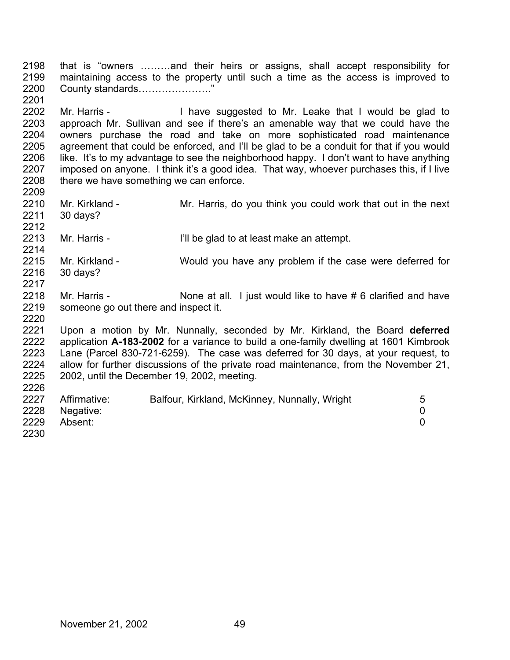2198 2199 2200 that is "owners ………and their heirs or assigns, shall accept responsibility for maintaining access to the property until such a time as the access is improved to County standards…………………."

2202 2203 2204 2205 2206 2207 2208 2209 Mr. Harris - Thave suggested to Mr. Leake that I would be glad to approach Mr. Sullivan and see if there's an amenable way that we could have the owners purchase the road and take on more sophisticated road maintenance agreement that could be enforced, and I'll be glad to be a conduit for that if you would like. It's to my advantage to see the neighborhood happy. I don't want to have anything imposed on anyone. I think it's a good idea. That way, whoever purchases this, if I live there we have something we can enforce.

- 2210 2211 2212 Mr. Kirkland - Mr. Harris, do you think you could work that out in the next 30 days?
- 2213 2214 Mr. Harris - The glad to at least make an attempt.
- 2215 2216 2217 Mr. Kirkland - Would you have any problem if the case were deferred for 30 days?
- 2218 2219 2220 Mr. Harris - None at all. I just would like to have # 6 clarified and have someone go out there and inspect it.

2221 2222 2223 2224 2225 2226 Upon a motion by Mr. Nunnally, seconded by Mr. Kirkland, the Board **deferred** application **A-183-2002** for a variance to build a one-family dwelling at 1601 Kimbrook Lane (Parcel 830-721-6259). The case was deferred for 30 days, at your request, to allow for further discussions of the private road maintenance, from the November 21, 2002, until the December 19, 2002, meeting.

| 2227 | Affirmative: | Balfour, Kirkland, McKinney, Nunnally, Wright | 5 |
|------|--------------|-----------------------------------------------|---|
| 2228 | Negative:    |                                               |   |
| 2229 | Absent:      |                                               |   |
| 2230 |              |                                               |   |